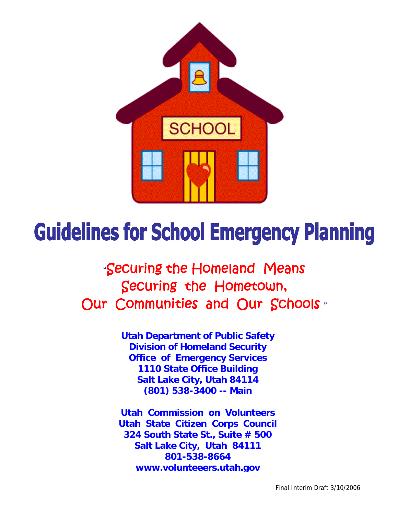

# **Guidelines for School Emergency Planning**

"Securing the Homeland Means Securing the Hometown, Our Communities and Our Schools .

> **Utah Department of Public Safety Division of Homeland Security Office of Emergency Services 1110 State Office Building Salt Lake City, Utah 84114 (801) 538-3400 -- Main**

**Utah Commission on Volunteers Utah State Citizen Corps Council 324 South State St., Suite # 500 Salt Lake City, Utah 84111 801-538-8664 www.volunteeers.utah.gov**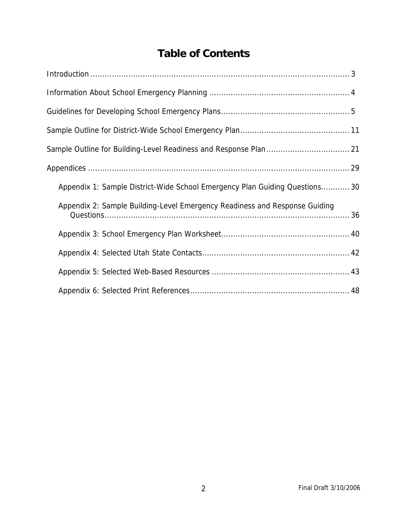### **Table of Contents**

| Appendix 1: Sample District-Wide School Emergency Plan Guiding Questions 30 |
|-----------------------------------------------------------------------------|
| Appendix 2: Sample Building-Level Emergency Readiness and Response Guiding  |
|                                                                             |
|                                                                             |
|                                                                             |
|                                                                             |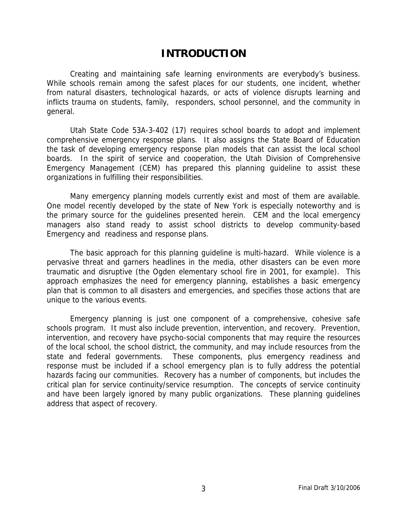### **INTRODUCTION**

 Creating and maintaining safe learning environments are everybody's business. While schools remain among the safest places for our students, one incident, whether from natural disasters, technological hazards, or acts of violence disrupts learning and inflicts trauma on students, family, responders, school personnel, and the community in general.

 Utah State Code 53A-3-402 (17) requires school boards to adopt and implement comprehensive emergency response plans. It also assigns the State Board of Education the task of developing emergency response plan models that can assist the local school boards. In the spirit of service and cooperation, the Utah Division of Comprehensive Emergency Management (CEM) has prepared this planning guideline to assist these organizations in fulfilling their responsibilities.

 Many emergency planning models currently exist and most of them are available. One model recently developed by the state of New York is especially noteworthy and is the primary source for the guidelines presented herein. CEM and the local emergency managers also stand ready to assist school districts to develop community-based Emergency and readiness and response plans.

 The basic approach for this planning guideline is multi-hazard. While violence is a pervasive threat and garners headlines in the media, other disasters can be even more traumatic and disruptive (the Ogden elementary school fire in 2001, for example). This approach emphasizes the need for emergency planning, establishes a basic emergency plan that is common to all disasters and emergencies, and specifies those actions that are unique to the various events.

 Emergency planning is just one component of a comprehensive, cohesive safe schools program. It must also include prevention, intervention, and recovery. Prevention, intervention, and recovery have psycho-social components that may require the resources of the local school, the school district, the community, and may include resources from the state and federal governments. These components, plus emergency readiness and response must be included if a school emergency plan is to fully address the potential hazards facing our communities. Recovery has a number of components, but includes the critical plan for service continuity/service resumption. The concepts of service continuity and have been largely ignored by many public organizations. These planning guidelines address that aspect of recovery.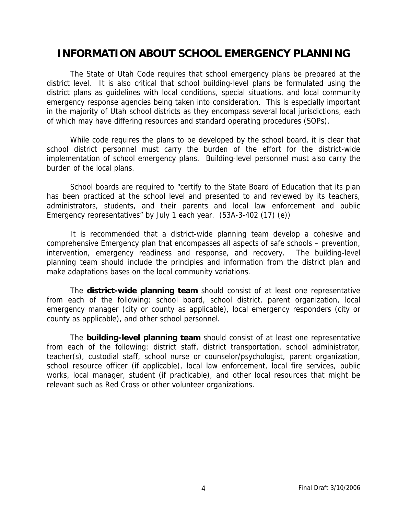### **INFORMATION ABOUT SCHOOL EMERGENCY PLANNING**

 The State of Utah Code requires that school emergency plans be prepared at the district level. It is also critical that school building-level plans be formulated using the district plans as guidelines with local conditions, special situations, and local community emergency response agencies being taken into consideration. This is especially important in the majority of Utah school districts as they encompass several local jurisdictions, each of which may have differing resources and standard operating procedures (SOPs).

 While code requires the plans to be developed by the school board, it is clear that school district personnel must carry the burden of the effort for the district-wide implementation of school emergency plans. Building-level personnel must also carry the burden of the local plans.

 School boards are required to "certify to the State Board of Education that its plan has been practiced at the school level and presented to and reviewed by its teachers, administrators, students, and their parents and local law enforcement and public Emergency representatives" by July 1 each year. (53A-3-402 (17) (e))

 It is recommended that a district-wide planning team develop a cohesive and comprehensive Emergency plan that encompasses all aspects of safe schools – prevention, intervention, emergency readiness and response, and recovery. The building-level planning team should include the principles and information from the district plan and make adaptations bases on the local community variations.

 The **district-wide planning team** should consist of at least one representative from each of the following: school board, school district, parent organization, local emergency manager (city or county as applicable), local emergency responders (city or county as applicable), and other school personnel.

 The **building-level planning team** should consist of at least one representative from each of the following: district staff, district transportation, school administrator, teacher(s), custodial staff, school nurse or counselor/psychologist, parent organization, school resource officer (if applicable), local law enforcement, local fire services, public works, local manager, student (if practicable), and other local resources that might be relevant such as Red Cross or other volunteer organizations.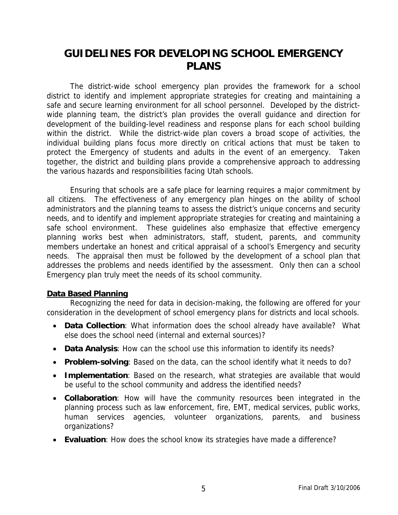### **GUIDELINES FOR DEVELOPING SCHOOL EMERGENCY PLANS**

 The district-wide school emergency plan provides the framework for a school district to identify and implement appropriate strategies for creating and maintaining a safe and secure learning environment for all school personnel. Developed by the districtwide planning team, the district's plan provides the overall guidance and direction for development of the building-level readiness and response plans for each school building within the district. While the district-wide plan covers a broad scope of activities, the individual building plans focus more directly on critical actions that must be taken to protect the Emergency of students and adults in the event of an emergency. Taken together, the district and building plans provide a comprehensive approach to addressing the various hazards and responsibilities facing Utah schools.

 Ensuring that schools are a safe place for learning requires a major commitment by all citizens. The effectiveness of any emergency plan hinges on the ability of school administrators and the planning teams to assess the district's unique concerns and security needs, and to identify and implement appropriate strategies for creating and maintaining a safe school environment. These guidelines also emphasize that effective emergency planning works best when administrators, staff, student, parents, and community members undertake an honest and critical appraisal of a school's Emergency and security needs. The appraisal then must be followed by the development of a school plan that addresses the problems and needs identified by the assessment. Only then can a school Emergency plan truly meet the needs of its school community.

### **Data Based Planning**

 Recognizing the need for data in decision-making, the following are offered for your consideration in the development of school emergency plans for districts and local schools.

- **Data Collection**: What information does the school already have available? What else does the school need (internal and external sources)?
- **Data Analysis**: How can the school use this information to identify its needs?
- **Problem-solving**: Based on the data, can the school identify what it needs to do?
- **Implementation**: Based on the research, what strategies are available that would be useful to the school community and address the identified needs?
- **Collaboration**: How will have the community resources been integrated in the planning process such as law enforcement, fire, EMT, medical services, public works, human services agencies, volunteer organizations, parents, and business organizations?
- **Evaluation**: How does the school know its strategies have made a difference?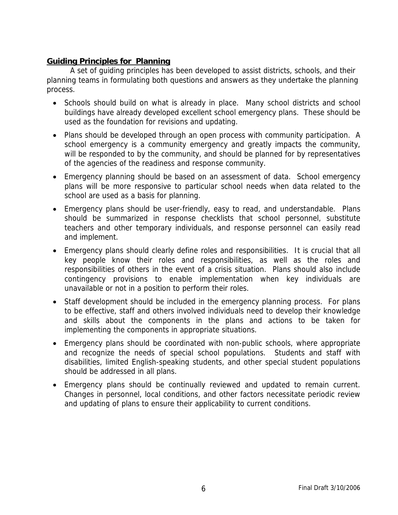### **Guiding Principles for Planning**

 A set of guiding principles has been developed to assist districts, schools, and their planning teams in formulating both questions and answers as they undertake the planning process.

- Schools should build on what is already in place. Many school districts and school buildings have already developed excellent school emergency plans. These should be used as the foundation for revisions and updating.
- Plans should be developed through an open process with community participation. A school emergency is a community emergency and greatly impacts the community, will be responded to by the community, and should be planned for by representatives of the agencies of the readiness and response community.
- Emergency planning should be based on an assessment of data. School emergency plans will be more responsive to particular school needs when data related to the school are used as a basis for planning.
- Emergency plans should be user-friendly, easy to read, and understandable. Plans should be summarized in response checklists that school personnel, substitute teachers and other temporary individuals, and response personnel can easily read and implement.
- Emergency plans should clearly define roles and responsibilities. It is crucial that all key people know their roles and responsibilities, as well as the roles and responsibilities of others in the event of a crisis situation. Plans should also include contingency provisions to enable implementation when key individuals are unavailable or not in a position to perform their roles.
- Staff development should be included in the emergency planning process. For plans to be effective, staff and others involved individuals need to develop their knowledge and skills about the components in the plans and actions to be taken for implementing the components in appropriate situations.
- Emergency plans should be coordinated with non-public schools, where appropriate and recognize the needs of special school populations. Students and staff with disabilities, limited English-speaking students, and other special student populations should be addressed in all plans.
- Emergency plans should be continually reviewed and updated to remain current. Changes in personnel, local conditions, and other factors necessitate periodic review and updating of plans to ensure their applicability to current conditions.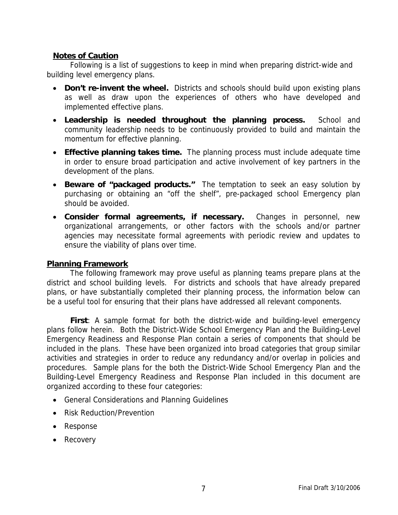### **Notes of Caution**

 Following is a list of suggestions to keep in mind when preparing district-wide and building level emergency plans.

- **Don't re-invent the wheel.** Districts and schools should build upon existing plans as well as draw upon the experiences of others who have developed and implemented effective plans.
- **Leadership is needed throughout the planning process.** School and community leadership needs to be continuously provided to build and maintain the momentum for effective planning.
- **Effective planning takes time.** The planning process must include adequate time in order to ensure broad participation and active involvement of key partners in the development of the plans.
- **Beware of "packaged products."** The temptation to seek an easy solution by purchasing or obtaining an "off the shelf", pre-packaged school Emergency plan should be avoided.
- **Consider formal agreements, if necessary.** Changes in personnel, new organizational arrangements, or other factors with the schools and/or partner agencies may necessitate formal agreements with periodic review and updates to ensure the viability of plans over time.

### **Planning Framework**

 The following framework may prove useful as planning teams prepare plans at the district and school building levels. For districts and schools that have already prepared plans, or have substantially completed their planning process, the information below can be a useful tool for ensuring that their plans have addressed all relevant components.

**First**: A sample format for both the district-wide and building-level emergency plans follow herein. Both the District-Wide School Emergency Plan and the Building-Level Emergency Readiness and Response Plan contain a series of components that should be included in the plans. These have been organized into broad categories that group similar activities and strategies in order to reduce any redundancy and/or overlap in policies and procedures. Sample plans for the both the District-Wide School Emergency Plan and the Building-Level Emergency Readiness and Response Plan included in this document are organized according to these four categories:

- General Considerations and Planning Guidelines
- Risk Reduction/Prevention
- Response
- Recovery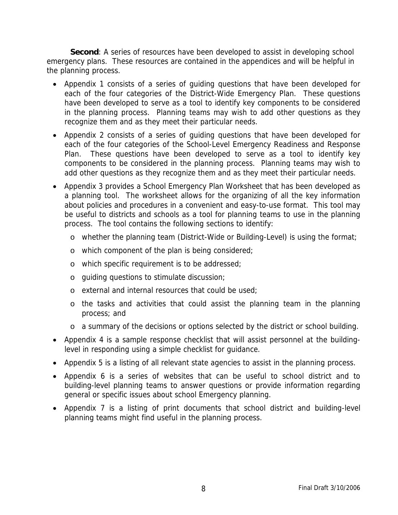**Second**: A series of resources have been developed to assist in developing school emergency plans. These resources are contained in the appendices and will be helpful in the planning process.

- Appendix 1 consists of a series of guiding questions that have been developed for each of the four categories of the District-Wide Emergency Plan. These questions have been developed to serve as a tool to identify key components to be considered in the planning process. Planning teams may wish to add other questions as they recognize them and as they meet their particular needs.
- Appendix 2 consists of a series of guiding questions that have been developed for each of the four categories of the School-Level Emergency Readiness and Response Plan. These questions have been developed to serve as a tool to identify key components to be considered in the planning process. Planning teams may wish to add other questions as they recognize them and as they meet their particular needs.
- Appendix 3 provides a School Emergency Plan Worksheet that has been developed as a planning tool. The worksheet allows for the organizing of all the key information about policies and procedures in a convenient and easy-to-use format. This tool may be useful to districts and schools as a tool for planning teams to use in the planning process. The tool contains the following sections to identify:
	- o whether the planning team (District-Wide or Building-Level) is using the format;
	- o which component of the plan is being considered;
	- o which specific requirement is to be addressed;
	- o guiding questions to stimulate discussion;
	- o external and internal resources that could be used;
	- o the tasks and activities that could assist the planning team in the planning process; and
	- o a summary of the decisions or options selected by the district or school building.
- Appendix 4 is a sample response checklist that will assist personnel at the buildinglevel in responding using a simple checklist for guidance.
- Appendix 5 is a listing of all relevant state agencies to assist in the planning process.
- Appendix 6 is a series of websites that can be useful to school district and to building-level planning teams to answer questions or provide information regarding general or specific issues about school Emergency planning.
- Appendix 7 is a listing of print documents that school district and building-level planning teams might find useful in the planning process.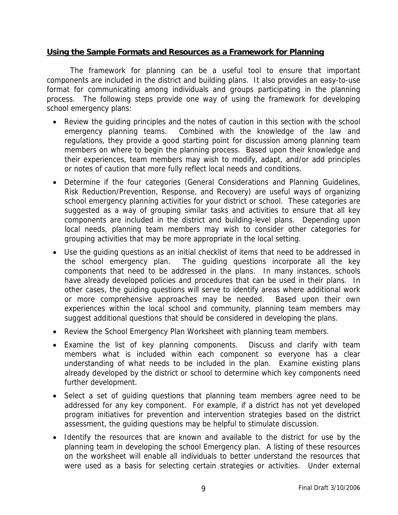### **Using the Sample Formats and Resources as a Framework for Planning**

 The framework for planning can be a useful tool to ensure that important components are included in the district and building plans. It also provides an easy-to-use format for communicating among individuals and groups participating in the planning process. The following steps provide one way of using the framework for developing school emergency plans:

- Review the guiding principles and the notes of caution in this section with the school emergency planning teams. Combined with the knowledge of the law and regulations, they provide a good starting point for discussion among planning team members on where to begin the planning process. Based upon their knowledge and their experiences, team members may wish to modify, adapt, and/or add principles or notes of caution that more fully reflect local needs and conditions.
- Determine if the four categories (General Considerations and Planning Guidelines, Risk Reduction/Prevention, Response, and Recovery) are useful ways of organizing school emergency planning activities for your district or school. These categories are suggested as a way of grouping similar tasks and activities to ensure that all key components are included in the district and building-level plans. Depending upon local needs, planning team members may wish to consider other categories for grouping activities that may be more appropriate in the local setting.
- Use the guiding questions as an initial checklist of items that need to be addressed in the school emergency plan. The guiding questions incorporate all the key components that need to be addressed in the plans. In many instances, schools have already developed policies and procedures that can be used in their plans. In other cases, the guiding questions will serve to identify areas where additional work or more comprehensive approaches may be needed. Based upon their own experiences within the local school and community, planning team members may suggest additional questions that should be considered in developing the plans.
- Review the School Emergency Plan Worksheet with planning team members.
- Examine the list of key planning components. Discuss and clarify with team members what is included within each component so everyone has a clear understanding of what needs to be included in the plan. Examine existing plans already developed by the district or school to determine which key components need further development.
- Select a set of guiding questions that planning team members agree need to be addressed for any key component. For example, if a district has not yet developed program initiatives for prevention and intervention strategies based on the district assessment, the guiding questions may be helpful to stimulate discussion.
- Identify the resources that are known and available to the district for use by the planning team in developing the school Emergency plan. A listing of these resources on the worksheet will enable all individuals to better understand the resources that were used as a basis for selecting certain strategies or activities. Under external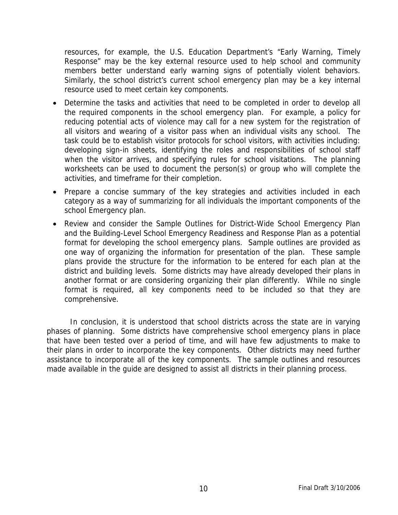resources, for example, the U.S. Education Department's "Early Warning, Timely Response" may be the key external resource used to help school and community members better understand early warning signs of potentially violent behaviors. Similarly, the school district's current school emergency plan may be a key internal resource used to meet certain key components.

- Determine the tasks and activities that need to be completed in order to develop all the required components in the school emergency plan. For example, a policy for reducing potential acts of violence may call for a new system for the registration of all visitors and wearing of a visitor pass when an individual visits any school. The task could be to establish visitor protocols for school visitors, with activities including: developing sign-in sheets, identifying the roles and responsibilities of school staff when the visitor arrives, and specifying rules for school visitations. The planning worksheets can be used to document the person(s) or group who will complete the activities, and timeframe for their completion.
- Prepare a concise summary of the key strategies and activities included in each category as a way of summarizing for all individuals the important components of the school Emergency plan.
- Review and consider the Sample Outlines for District-Wide School Emergency Plan and the Building-Level School Emergency Readiness and Response Plan as a potential format for developing the school emergency plans. Sample outlines are provided as one way of organizing the information for presentation of the plan. These sample plans provide the structure for the information to be entered for each plan at the district and building levels. Some districts may have already developed their plans in another format or are considering organizing their plan differently. While no single format is required, all key components need to be included so that they are comprehensive.

 In conclusion, it is understood that school districts across the state are in varying phases of planning. Some districts have comprehensive school emergency plans in place that have been tested over a period of time, and will have few adjustments to make to their plans in order to incorporate the key components. Other districts may need further assistance to incorporate all of the key components. The sample outlines and resources made available in the guide are designed to assist all districts in their planning process.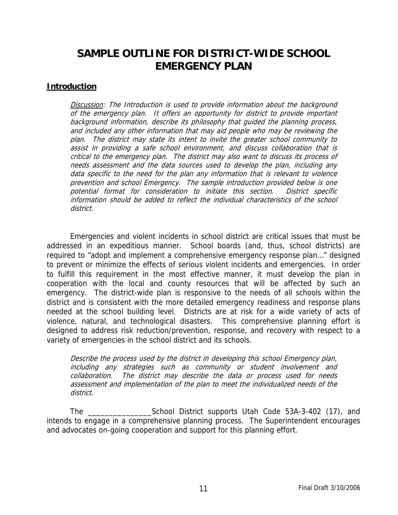### **SAMPLE OUTLINE FOR DISTRICT-WIDE SCHOOL EMERGENCY PLAN**

#### **Introduction**

Discussion: The Introduction is used to provide information about the background of the emergency plan. It offers an opportunity for district to provide important background information, describe its philosophy that guided the planning process, and included any other information that may aid people who may be reviewing the plan. The district may state its intent to invite the greater school community to assist in providing a safe school environment, and discuss collaboration that is critical to the emergency plan. The district may also want to discuss its process of needs assessment and the data sources used to develop the plan, including any data specific to the need for the plan any information that is relevant to violence prevention and school Emergency. The sample introduction provided below is one potential format for consideration to initiate this section. District specific information should be added to reflect the individual characteristics of the school district.

 Emergencies and violent incidents in school district are critical issues that must be addressed in an expeditious manner. School boards (and, thus, school districts) are required to "adopt and implement a comprehensive emergency response plan…" designed to prevent or minimize the effects of serious violent incidents and emergencies. In order to fulfill this requirement in the most effective manner, it must develop the plan in cooperation with the local and county resources that will be affected by such an emergency. The district-wide plan is responsive to the needs of all schools within the district and is consistent with the more detailed emergency readiness and response plans needed at the school building level. Districts are at risk for a wide variety of acts of violence, natural, and technological disasters. This comprehensive planning effort is designed to address risk reduction/prevention, response, and recovery with respect to a variety of emergencies in the school district and its schools.

Describe the process used by the district in developing this school Emergency plan, including any strategies such as community or student involvement and collaboration. The district may describe the data or process used for needs assessment and implementation of the plan to meet the individualized needs of the district.

 The \_\_\_\_\_\_\_\_\_\_\_\_\_\_\_School District supports Utah Code 53A-3-402 (17), and intends to engage in a comprehensive planning process. The Superintendent encourages and advocates on-going cooperation and support for this planning effort.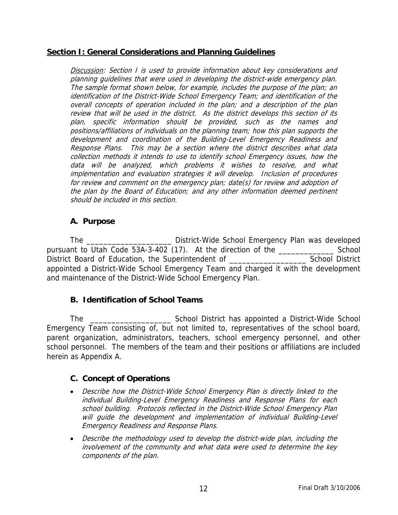### **Section I: General Considerations and Planning Guidelines**

Discussion: Section I is used to provide information about key considerations and planning guidelines that were used in developing the district-wide emergency plan. The sample format shown below, for example, includes the purpose of the plan; an identification of the District-Wide School Emergency Team; and identification of the overall concepts of operation included in the plan; and a description of the plan review that will be used in the district. As the district develops this section of its plan, specific information should be provided, such as the names and positions/affiliations of individuals on the planning team; how this plan supports the development and coordination of the Building-Level Emergency Readiness and Response Plans. This may be a section where the district describes what data collection methods it intends to use to identify school Emergency issues, how the data will be analyzed, which problems it wishes to resolve, and what implementation and evaluation strategies it will develop. Inclusion of procedures for review and comment on the emergency plan; date(s) for review and adoption of the plan by the Board of Education; and any other information deemed pertinent should be included in this section.

### **A. Purpose**

 The \_\_\_\_\_\_\_\_\_\_\_\_\_\_\_\_\_\_\_\_ District-Wide School Emergency Plan was developed pursuant to Utah Code 53A-3-402 (17). At the direction of the \_\_\_\_\_\_\_\_\_\_\_\_\_ School District Board of Education, the Superintendent of \_\_\_\_\_\_\_\_\_\_\_\_\_\_\_\_\_\_\_\_\_\_\_\_\_\_\_\_\_ School District appointed a District-Wide School Emergency Team and charged it with the development and maintenance of the District-Wide School Emergency Plan.

### **B. Identification of School Teams**

 The \_\_\_\_\_\_\_\_\_\_\_\_\_\_\_\_\_\_\_ School District has appointed a District-Wide School Emergency Team consisting of, but not limited to, representatives of the school board, parent organization, administrators, teachers, school emergency personnel, and other school personnel. The members of the team and their positions or affiliations are included herein as Appendix A.

### **C. Concept of Operations**

- Describe how the District-Wide School Emergency Plan is directly linked to the individual Building-Level Emergency Readiness and Response Plans for each school building. Protocols reflected in the District-Wide School Emergency Plan will guide the development and implementation of individual Building-Level Emergency Readiness and Response Plans.
- Describe the methodology used to develop the district-wide plan, including the involvement of the community and what data were used to determine the key components of the plan.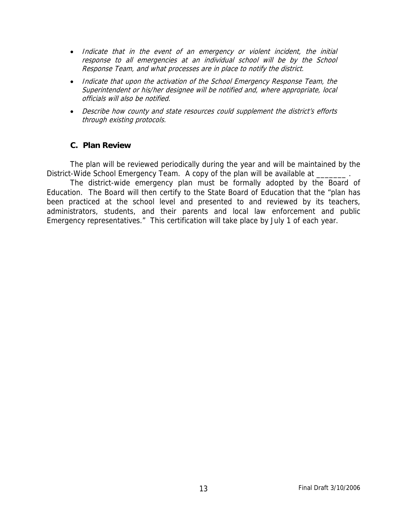- Indicate that in the event of an emergency or violent incident, the initial response to all emergencies at an individual school will be by the School Response Team, and what processes are in place to notify the district.
- Indicate that upon the activation of the School Emergency Response Team, the Superintendent or his/her designee will be notified and, where appropriate, local officials will also be notified.
- Describe how county and state resources could supplement the district's efforts through existing protocols.

### **C. Plan Review**

 The plan will be reviewed periodically during the year and will be maintained by the District-Wide School Emergency Team. A copy of the plan will be available at \_\_\_

 The district-wide emergency plan must be formally adopted by the Board of Education. The Board will then certify to the State Board of Education that the "plan has been practiced at the school level and presented to and reviewed by its teachers, administrators, students, and their parents and local law enforcement and public Emergency representatives." This certification will take place by July 1 of each year.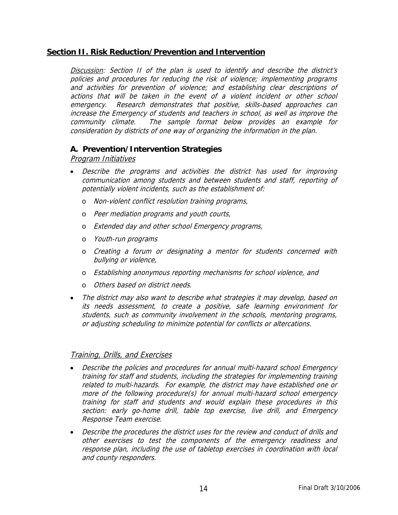### **Section II. Risk Reduction/Prevention and Intervention**

Discussion: Section II of the plan is used to identify and describe the district's policies and procedures for reducing the risk of violence; implementing programs and activities for prevention of violence; and establishing clear descriptions of actions that will be taken in the event of a violent incident or other school emergency. Research demonstrates that positive, skills-based approaches can increase the Emergency of students and teachers in school, as well as improve the community climate. The sample format below provides an example for consideration by districts of one way of organizing the information in the plan.

#### **A. Prevention/Intervention Strategies**

#### Program Initiatives

- Describe the programs and activities the district has used for improving communication among students and between students and staff, reporting of potentially violent incidents, such as the establishment of:
	- o Non-violent conflict resolution training programs,
	- o Peer mediation programs and youth courts,
	- o Extended day and other school Emergency programs,
	- o Youth-run programs
	- o Creating a forum or designating a mentor for students concerned with bullying or violence,
	- o Establishing anonymous reporting mechanisms for school violence, and
	- o Others based on district needs.
- The district may also want to describe what strategies it may develop, based on its needs assessment, to create a positive, safe learning environment for students, such as community involvement in the schools, mentoring programs, or adjusting scheduling to minimize potential for conflicts or altercations.

#### Training, Drills, and Exercises

- Describe the policies and procedures for annual multi-hazard school Emergency training for staff and students, including the strategies for implementing training related to multi-hazards. For example, the district may have established one or more of the following procedure(s) for annual multi-hazard school emergency training for staff and students and would explain these procedures in this section: early go-home drill, table top exercise, live drill, and Emergency Response Team exercise.
- Describe the procedures the district uses for the review and conduct of drills and other exercises to test the components of the emergency readiness and response plan, including the use of tabletop exercises in coordination with local and county responders.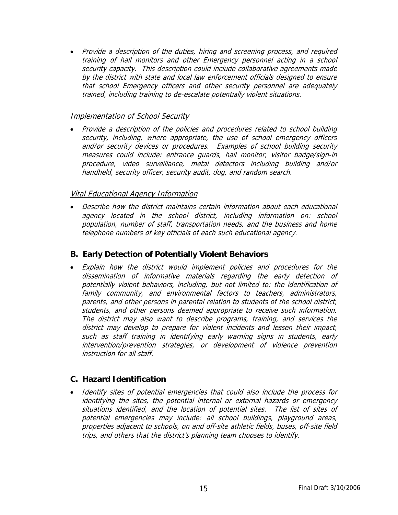• Provide a description of the duties, hiring and screening process, and required training of hall monitors and other Emergency personnel acting in a school security capacity. This description could include collaborative agreements made by the district with state and local law enforcement officials designed to ensure that school Emergency officers and other security personnel are adequately trained, including training to de-escalate potentially violent situations.

#### Implementation of School Security

• Provide a description of the policies and procedures related to school building security, including, where appropriate, the use of school emergency officers and/or security devices or procedures. Examples of school building security measures could include: entrance guards, hall monitor, visitor badge/sign-in procedure, video surveillance, metal detectors including building and/or handheld, security officer, security audit, dog, and random search.

#### Vital Educational Agency Information

• Describe how the district maintains certain information about each educational agency located in the school district, including information on: school population, number of staff, transportation needs, and the business and home telephone numbers of key officials of each such educational agency.

### **B. Early Detection of Potentially Violent Behaviors**

• Explain how the district would implement policies and procedures for the dissemination of informative materials regarding the early detection of potentially violent behaviors, including, but not limited to: the identification of family community, and environmental factors to teachers, administrators, parents, and other persons in parental relation to students of the school district, students, and other persons deemed appropriate to receive such information. The district may also want to describe programs, training, and services the district may develop to prepare for violent incidents and lessen their impact, such as staff training in identifying early warning signs in students, early intervention/prevention strategies, or development of violence prevention instruction for all staff.

### **C. Hazard Identification**

• Identify sites of potential emergencies that could also include the process for identifying the sites, the potential internal or external hazards or emergency situations identified, and the location of potential sites. The list of sites of potential emergencies may include: all school buildings, playground areas, properties adjacent to schools, on and off-site athletic fields, buses, off-site field trips, and others that the district's planning team chooses to identify.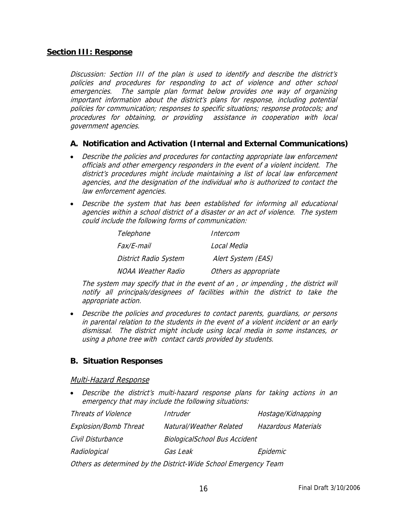#### **Section III: Response**

Discussion: Section III of the plan is used to identify and describe the district's policies and procedures for responding to act of violence and other school emergencies. The sample plan format below provides one way of organizing important information about the district's plans for response, including potential policies for communication; responses to specific situations; response protocols; and procedures for obtaining, or providing assistance in cooperation with local government agencies.

#### **A. Notification and Activation (Internal and External Communications)**

- Describe the policies and procedures for contacting appropriate law enforcement officials and other emergency responders in the event of a violent incident. The district's procedures might include maintaining a list of local law enforcement agencies, and the designation of the individual who is authorized to contact the law enforcement agencies.
- Describe the system that has been established for informing all educational agencies within a school district of a disaster or an act of violence. The system could include the following forms of communication:

| Telephone                    | Intercom              |
|------------------------------|-----------------------|
| <i>Fax/F-mail</i>            | Local Media           |
| <b>District Radio System</b> | Alert System (EAS)    |
| <b>NOAA Weather Radio</b>    | Others as appropriate |

The system may specify that in the event of an , or impending , the district will notify all principals/designees of facilities within the district to take the appropriate action.

• Describe the policies and procedures to contact parents, guardians, or persons in parental relation to the students in the event of a violent incident or an early dismissal. The district might include using local media in some instances, or using a phone tree with contact cards provided by students.

### **B. Situation Responses**

#### Multi-Hazard Response

• Describe the district's multi-hazard response plans for taking actions in an emergency that may include the following situations:

| <b>Threats of Violence</b>   | Intruder                                       | Hostage/Kidnapping |  |
|------------------------------|------------------------------------------------|--------------------|--|
| <b>Explosion/Bomb Threat</b> | Natural/Weather Related<br>Hazardous Materials |                    |  |
| Civil Disturbance            | <b>BiologicalSchool Bus Accident</b>           |                    |  |
| Radiological                 | Gas Leak                                       | Epidemic           |  |
|                              |                                                |                    |  |

Others as determined by the District-Wide School Emergency Team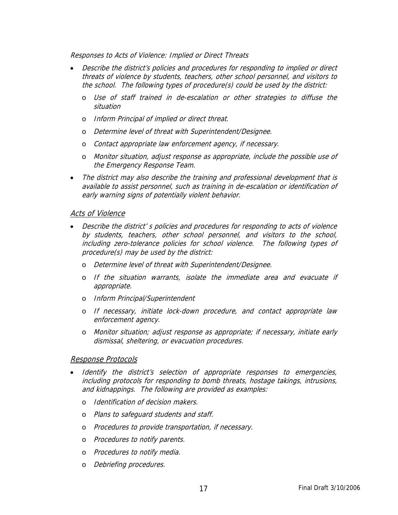Responses to Acts of Violence: Implied or Direct Threats

- Describe the district's policies and procedures for responding to implied or direct threats of violence by students, teachers, other school personnel, and visitors to the school. The following types of procedure(s) could be used by the district:
	- o Use of staff trained in de-escalation or other strategies to diffuse the situation
	- o Inform Principal of implied or direct threat.
	- o Determine level of threat with Superintendent/Designee.
	- o Contact appropriate law enforcement agency, if necessary.
	- o Monitor situation, adjust response as appropriate, include the possible use of the Emergency Response Team.
- The district may also describe the training and professional development that is available to assist personnel, such as training in de-escalation or identification of early warning signs of potentially violent behavior.

#### Acts of Violence

- Describe the district' s policies and procedures for responding to acts of violence by students, teachers, other school personnel, and visitors to the school, including zero-tolerance policies for school violence. The following types of procedure(s) may be used by the district:
	- o Determine level of threat with Superintendent/Designee.
	- o If the situation warrants, isolate the immediate area and evacuate if appropriate.
	- o Inform Principal/Superintendent
	- o If necessary, initiate lock-down procedure, and contact appropriate law enforcement agency.
	- o Monitor situation; adjust response as appropriate; if necessary, initiate early dismissal, sheltering, or evacuation procedures.

#### Response Protocols

- Identify the district's selection of appropriate responses to emergencies, including protocols for responding to bomb threats, hostage takings, intrusions, and kidnappings. The following are provided as examples:
	- o Identification of decision makers.
	- o Plans to safeguard students and staff.
	- o Procedures to provide transportation, if necessary.
	- o Procedures to notify parents.
	- o Procedures to notify media.
	- o Debriefing procedures.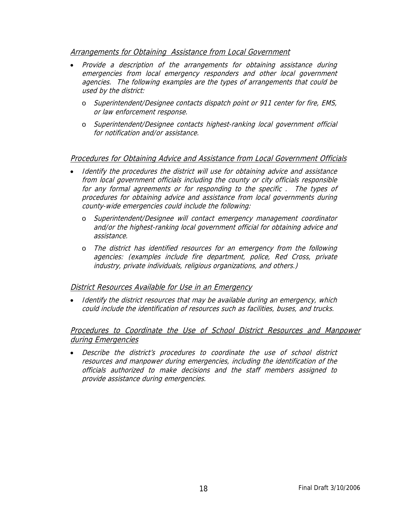#### Arrangements for Obtaining Assistance from Local Government

- Provide a description of the arrangements for obtaining assistance during emergencies from local emergency responders and other local government agencies. The following examples are the types of arrangements that could be used by the district:
	- o Superintendent/Designee contacts dispatch point or 911 center for fire, EMS, or law enforcement response.
	- o Superintendent/Designee contacts highest-ranking local government official for notification and/or assistance.

### Procedures for Obtaining Advice and Assistance from Local Government Officials

- Identify the procedures the district will use for obtaining advice and assistance from local government officials including the county or city officials responsible for any formal agreements or for responding to the specific . The types of procedures for obtaining advice and assistance from local governments during county-wide emergencies could include the following:
	- o Superintendent/Designee will contact emergency management coordinator and/or the highest-ranking local government official for obtaining advice and assistance.
	- o The district has identified resources for an emergency from the following agencies: (examples include fire department, police, Red Cross, private industry, private individuals, religious organizations, and others.)

### District Resources Available for Use in an Emergency

• Identify the district resources that may be available during an emergency, which could include the identification of resources such as facilities, buses, and trucks.

### Procedures to Coordinate the Use of School District Resources and Manpower during Emergencies

• Describe the district's procedures to coordinate the use of school district resources and manpower during emergencies, including the identification of the officials authorized to make decisions and the staff members assigned to provide assistance during emergencies.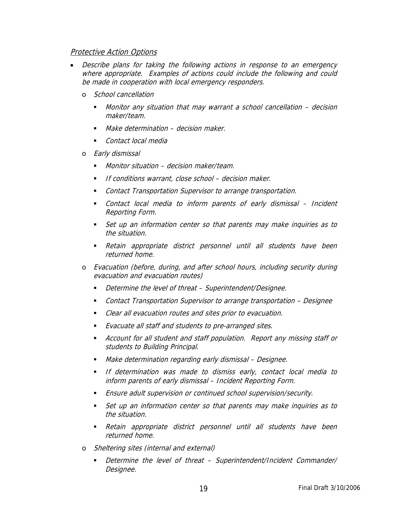#### Protective Action Options

- Describe plans for taking the following actions in response to an emergency where appropriate. Examples of actions could include the following and could be made in cooperation with local emergency responders.
	- o School cancellation
		- Monitor any situation that may warrant a school cancellation decision maker/team.
		- Make determination decision maker.
		- Contact local media
	- o Early dismissal
		- **Monitor situation decision maker/team.**
		- If conditions warrant, close school decision maker.
		- Contact Transportation Supervisor to arrange transportation.
		- Contact local media to inform parents of early dismissal Incident Reporting Form.
		- Set up an information center so that parents may make inquiries as to the situation.
		- Retain appropriate district personnel until all students have been returned home.
	- o Evacuation (before, during, and after school hours, including security during evacuation and evacuation routes)
		- Determine the level of threat Superintendent/Designee.
		- Contact Transportation Supervisor to arrange transportation Designee
		- Clear all evacuation routes and sites prior to evacuation.
		- Evacuate all staff and students to pre-arranged sites.
		- Account for all student and staff population. Report any missing staff or students to Building Principal.
		- **Make determination regarding early dismissal Designee.**
		- **If determination was made to dismiss early, contact local media to** inform parents of early dismissal – Incident Reporting Form.
		- Ensure adult supervision or continued school supervision/security.
		- Set up an information center so that parents may make inquiries as to the situation.
		- Retain appropriate district personnel until all students have been returned home.
	- o Sheltering sites (internal and external)
		- Determine the level of threat Superintendent/Incident Commander/ Designee.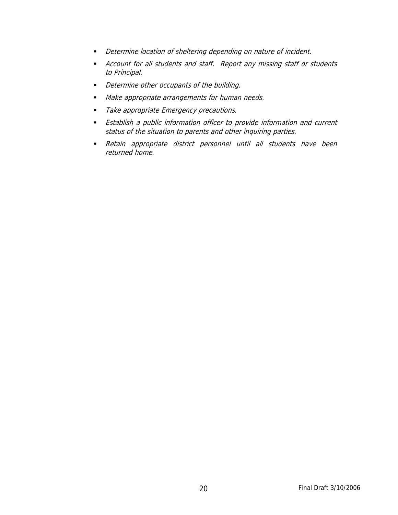- **•** Determine location of sheltering depending on nature of incident.
- Account for all students and staff. Report any missing staff or students to Principal.
- Determine other occupants of the building.
- **Make appropriate arrangements for human needs.**
- Take appropriate Emergency precautions.
- **Establish a public information officer to provide information and current** status of the situation to parents and other inquiring parties.
- Retain appropriate district personnel until all students have been returned home.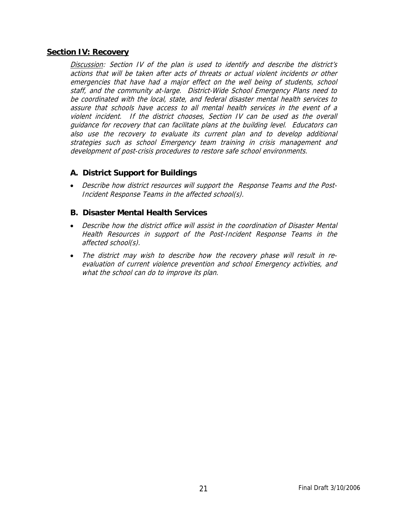#### **Section IV: Recovery**

Discussion: Section IV of the plan is used to identify and describe the district's actions that will be taken after acts of threats or actual violent incidents or other emergencies that have had a major effect on the well being of students, school staff, and the community at-large. District-Wide School Emergency Plans need to be coordinated with the local, state, and federal disaster mental health services to assure that schools have access to all mental health services in the event of a violent incident. If the district chooses, Section IV can be used as the overall guidance for recovery that can facilitate plans at the building level. Educators can also use the recovery to evaluate its current plan and to develop additional strategies such as school Emergency team training in crisis management and development of post-crisis procedures to restore safe school environments.

### **A. District Support for Buildings**

• Describe how district resources will support the Response Teams and the Post-Incident Response Teams in the affected school(s).

### **B. Disaster Mental Health Services**

- Describe how the district office will assist in the coordination of Disaster Mental Health Resources in support of the Post-Incident Response Teams in the affected school(s).
- The district may wish to describe how the recovery phase will result in reevaluation of current violence prevention and school Emergency activities, and what the school can do to improve its plan.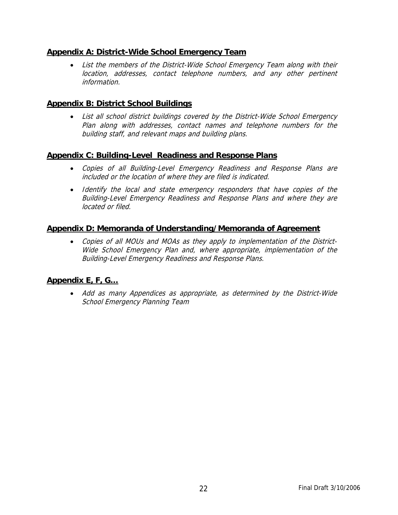### **Appendix A: District-Wide School Emergency Team**

• List the members of the District-Wide School Emergency Team along with their location, addresses, contact telephone numbers, and any other pertinent information.

### **Appendix B: District School Buildings**

• List all school district buildings covered by the District-Wide School Emergency Plan along with addresses, contact names and telephone numbers for the building staff, and relevant maps and building plans.

### **Appendix C: Building-Level Readiness and Response Plans**

- Copies of all Building-Level Emergency Readiness and Response Plans are included or the location of where they are filed is indicated.
- Identify the local and state emergency responders that have copies of the Building-Level Emergency Readiness and Response Plans and where they are located or filed.

### **Appendix D: Memoranda of Understanding/Memoranda of Agreement**

• Copies of all MOUs and MOAs as they apply to implementation of the District-Wide School Emergency Plan and, where appropriate, implementation of the Building-Level Emergency Readiness and Response Plans.

### **Appendix E, F, G…**

• Add as many Appendices as appropriate, as determined by the District-Wide School Emergency Planning Team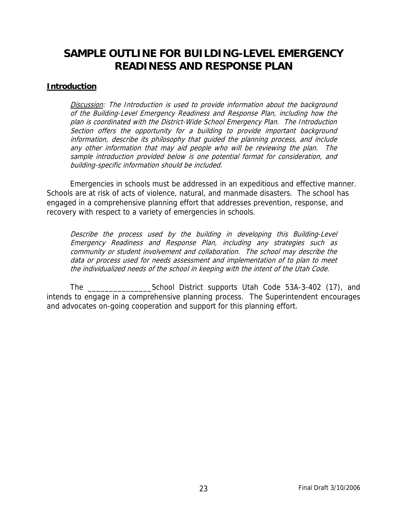### **SAMPLE OUTLINE FOR BUILDING-LEVEL EMERGENCY READINESS AND RESPONSE PLAN**

#### **Introduction**

Discussion: The Introduction is used to provide information about the background of the Building-Level Emergency Readiness and Response Plan, including how the plan is coordinated with the District-Wide School Emergency Plan. The Introduction Section offers the opportunity for a building to provide important background information, describe its philosophy that guided the planning process, and include any other information that may aid people who will be reviewing the plan. The sample introduction provided below is one potential format for consideration, and building-specific information should be included.

 Emergencies in schools must be addressed in an expeditious and effective manner. Schools are at risk of acts of violence, natural, and manmade disasters. The school has engaged in a comprehensive planning effort that addresses prevention, response, and recovery with respect to a variety of emergencies in schools.

Describe the process used by the building in developing this Building-Level Emergency Readiness and Response Plan, including any strategies such as community or student involvement and collaboration. The school may describe the data or process used for needs assessment and implementation of to plan to meet the individualized needs of the school in keeping with the intent of the Utah Code.

 The \_\_\_\_\_\_\_\_\_\_\_\_\_\_\_School District supports Utah Code 53A-3-402 (17), and intends to engage in a comprehensive planning process. The Superintendent encourages and advocates on-going cooperation and support for this planning effort.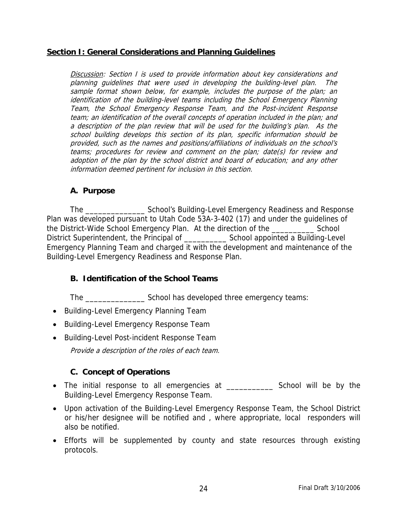### **Section I: General Considerations and Planning Guidelines**

Discussion: Section I is used to provide information about key considerations and planning guidelines that were used in developing the building-level plan. The sample format shown below, for example, includes the purpose of the plan; an identification of the building-level teams including the School Emergency Planning Team, the School Emergency Response Team, and the Post-incident Response team; an identification of the overall concepts of operation included in the plan; and a description of the plan review that will be used for the building's plan. As the school building develops this section of its plan, specific information should be provided, such as the names and positions/affiliations of individuals on the school's teams; procedures for review and comment on the plan; date(s) for review and adoption of the plan by the school district and board of education; and any other information deemed pertinent for inclusion in this section.

### **A. Purpose**

 The \_\_\_\_\_\_\_\_\_\_\_\_\_\_ School's Building-Level Emergency Readiness and Response Plan was developed pursuant to Utah Code 53A-3-402 (17) and under the guidelines of the District-Wide School Emergency Plan. At the direction of the \_\_\_\_\_\_\_\_\_\_ School District Superintendent, the Principal of The School appointed a Building-Level Emergency Planning Team and charged it with the development and maintenance of the Building-Level Emergency Readiness and Response Plan.

### **B. Identification of the School Teams**

The \_\_\_\_\_\_\_\_\_\_\_\_\_\_ School has developed three emergency teams:

- Building-Level Emergency Planning Team
- Building-Level Emergency Response Team
- Building-Level Post-incident Response Team

Provide a description of the roles of each team.

### **C. Concept of Operations**

- The initial response to all emergencies at \_\_\_\_\_\_\_\_\_\_\_ School will be by the Building-Level Emergency Response Team.
- Upon activation of the Building-Level Emergency Response Team, the School District or his/her designee will be notified and , where appropriate, local responders will also be notified.
- Efforts will be supplemented by county and state resources through existing protocols.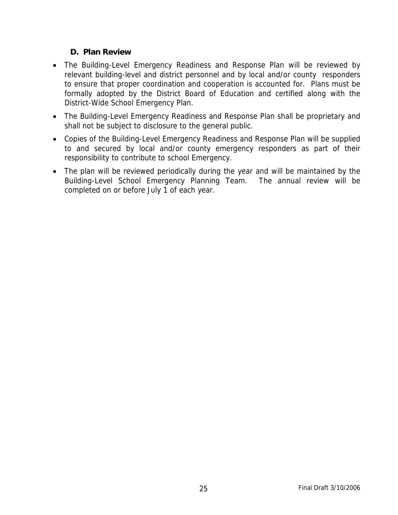### **D. Plan Review**

- The Building-Level Emergency Readiness and Response Plan will be reviewed by relevant building-level and district personnel and by local and/or county responders to ensure that proper coordination and cooperation is accounted for. Plans must be formally adopted by the District Board of Education and certified along with the District-Wide School Emergency Plan.
- The Building-Level Emergency Readiness and Response Plan shall be proprietary and shall not be subject to disclosure to the general public.
- Copies of the Building-Level Emergency Readiness and Response Plan will be supplied to and secured by local and/or county emergency responders as part of their responsibility to contribute to school Emergency.
- The plan will be reviewed periodically during the year and will be maintained by the Building-Level School Emergency Planning Team. The annual review will be completed on or before July 1 of each year.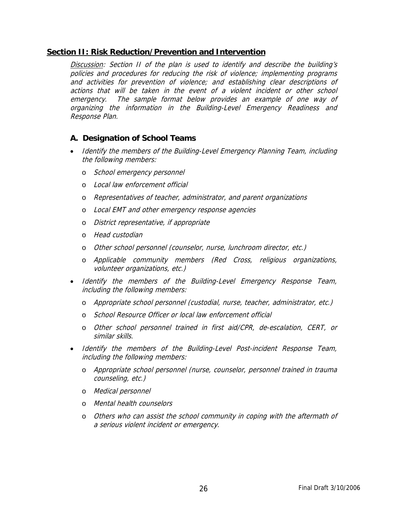#### **Section II: Risk Reduction/Prevention and Intervention**

Discussion: Section II of the plan is used to identify and describe the building's policies and procedures for reducing the risk of violence; implementing programs and activities for prevention of violence; and establishing clear descriptions of actions that will be taken in the event of a violent incident or other school emergency. The sample format below provides an example of one way of organizing the information in the Building-Level Emergency Readiness and Response Plan.

### **A. Designation of School Teams**

- Identify the members of the Building-Level Emergency Planning Team, including the following members:
	- o School emergency personnel
	- o Local law enforcement official
	- o Representatives of teacher, administrator, and parent organizations
	- o Local EMT and other emergency response agencies
	- o District representative, if appropriate
	- o Head custodian
	- o Other school personnel (counselor, nurse, lunchroom director, etc.)
	- o Applicable community members (Red Cross, religious organizations, volunteer organizations, etc.)
- Identify the members of the Building-Level Emergency Response Team, including the following members:
	- o Appropriate school personnel (custodial, nurse, teacher, administrator, etc.)
	- o School Resource Officer or local law enforcement official
	- o Other school personnel trained in first aid/CPR, de-escalation, CERT, or similar skills.
- Identify the members of the Building-Level Post-incident Response Team, including the following members:
	- o Appropriate school personnel (nurse, counselor, personnel trained in trauma counseling, etc.)
	- o Medical personnel
	- o Mental health counselors
	- o Others who can assist the school community in coping with the aftermath of a serious violent incident or emergency.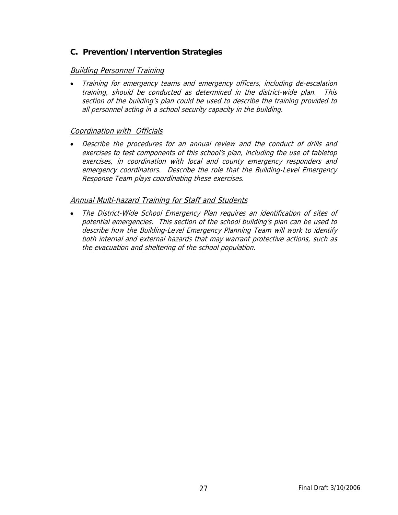### **C. Prevention/Intervention Strategies**

### Building Personnel Training

• Training for emergency teams and emergency officers, including de-escalation training, should be conducted as determined in the district-wide plan. This section of the building's plan could be used to describe the training provided to all personnel acting in a school security capacity in the building.

### Coordination with Officials

• Describe the procedures for an annual review and the conduct of drills and exercises to test components of this school's plan, including the use of tabletop exercises, in coordination with local and county emergency responders and emergency coordinators. Describe the role that the Building-Level Emergency Response Team plays coordinating these exercises.

### Annual Multi-hazard Training for Staff and Students

• The District-Wide School Emergency Plan requires an identification of sites of potential emergencies. This section of the school building's plan can be used to describe how the Building-Level Emergency Planning Team will work to identify both internal and external hazards that may warrant protective actions, such as the evacuation and sheltering of the school population.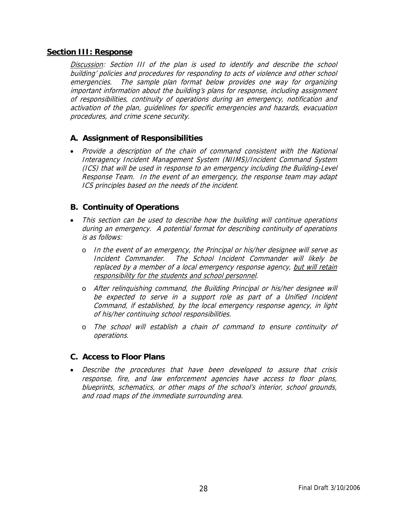#### **Section III: Response**

Discussion: Section III of the plan is used to identify and describe the school building' policies and procedures for responding to acts of violence and other school emergencies. The sample plan format below provides one way for organizing important information about the building's plans for response, including assignment of responsibilities, continuity of operations during an emergency, notification and activation of the plan, guidelines for specific emergencies and hazards, evacuation procedures, and crime scene security.

### **A. Assignment of Responsibilities**

• Provide a description of the chain of command consistent with the National Interagency Incident Management System (NIIMS)/Incident Command System (ICS) that will be used in response to an emergency including the Building-Level Response Team. In the event of an emergency, the response team may adapt ICS principles based on the needs of the incident.

### **B. Continuity of Operations**

- This section can be used to describe how the building will continue operations during an emergency. A potential format for describing continuity of operations is as follows:
	- o In the event of an emergency, the Principal or his/her designee will serve as Incident Commander. The School Incident Commander will likely be replaced by a member of a local emergency response agency, but will retain responsibility for the students and school personnel.
	- o After relinquishing command, the Building Principal or his/her designee will be expected to serve in a support role as part of a Unified Incident Command, if established, by the local emergency response agency, in light of his/her continuing school responsibilities.
	- o The school will establish a chain of command to ensure continuity of operations.

### **C. Access to Floor Plans**

• Describe the procedures that have been developed to assure that crisis response, fire, and law enforcement agencies have access to floor plans, blueprints, schematics, or other maps of the school's interior, school grounds, and road maps of the immediate surrounding area.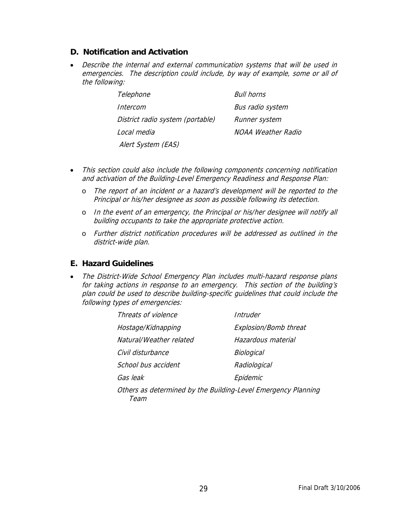### **D. Notification and Activation**

• Describe the internal and external communication systems that will be used in emergencies. The description could include, by way of example, some or all of the following:

| Telephone                        | Bull horns              |
|----------------------------------|-------------------------|
| Intercom                         | <b>Bus radio system</b> |
| District radio system (portable) | Runner system           |
| Local media                      | NOAA Weather Radio      |
| Alert System (EAS)               |                         |

- This section could also include the following components concerning notification and activation of the Building-Level Emergency Readiness and Response Plan:
	- o The report of an incident or a hazard's development will be reported to the Principal or his/her designee as soon as possible following its detection.
	- o In the event of an emergency, the Principal or his/her designee will notify all building occupants to take the appropriate protective action.
	- o Further district notification procedures will be addressed as outlined in the district-wide plan.

### **E. Hazard Guidelines**

• The District-Wide School Emergency Plan includes multi-hazard response plans for taking actions in response to an emergency. This section of the building's plan could be used to describe building-specific guidelines that could include the following types of emergencies:

| Threats of violence                                                          | Intruder              |  |
|------------------------------------------------------------------------------|-----------------------|--|
| Hostage/Kidnapping                                                           | Explosion/Bomb threat |  |
| Natural/Weather related                                                      | Hazardous material    |  |
| Civil disturbance                                                            | Biological            |  |
| School bus accident                                                          | Radiological          |  |
| Gas leak                                                                     | Epidemic              |  |
| Others as determined by the Building-Level Emergency Planning<br><i>Leam</i> |                       |  |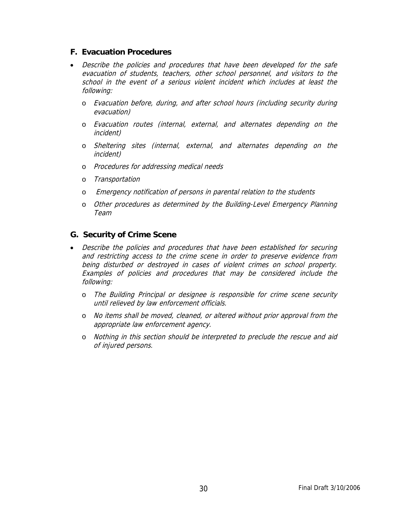### **F. Evacuation Procedures**

- Describe the policies and procedures that have been developed for the safe evacuation of students, teachers, other school personnel, and visitors to the school in the event of a serious violent incident which includes at least the following:
	- o Evacuation before, during, and after school hours (including security during evacuation)
	- o Evacuation routes (internal, external, and alternates depending on the incident)
	- o Sheltering sites (internal, external, and alternates depending on the incident)
	- o Procedures for addressing medical needs
	- o Transportation
	- o Emergency notification of persons in parental relation to the students
	- o Other procedures as determined by the Building-Level Emergency Planning Team

### **G. Security of Crime Scene**

- Describe the policies and procedures that have been established for securing and restricting access to the crime scene in order to preserve evidence from being disturbed or destroyed in cases of violent crimes on school property. Examples of policies and procedures that may be considered include the following:
	- o The Building Principal or designee is responsible for crime scene security until relieved by law enforcement officials.
	- o No items shall be moved, cleaned, or altered without prior approval from the appropriate law enforcement agency.
	- o Nothing in this section should be interpreted to preclude the rescue and aid of injured persons.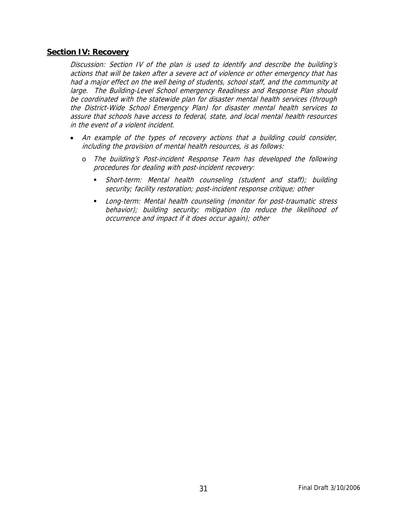#### **Section IV: Recovery**

Discussion: Section IV of the plan is used to identify and describe the building's actions that will be taken after a severe act of violence or other emergency that has had a major effect on the well being of students, school staff, and the community at large. The Building-Level School emergency Readiness and Response Plan should be coordinated with the statewide plan for disaster mental health services (through the District-Wide School Emergency Plan) for disaster mental health services to assure that schools have access to federal, state, and local mental health resources in the event of a violent incident.

- An example of the types of recovery actions that a building could consider, including the provision of mental health resources, is as follows:
	- o The building's Post-incident Response Team has developed the following procedures for dealing with post-incident recovery:
		- Short-term: Mental health counseling (student and staff); building security; facility restoration; post-incident response critique; other
		- Long-term: Mental health counseling (monitor for post-traumatic stress behavior); building security; mitigation (to reduce the likelihood of occurrence and impact if it does occur again); other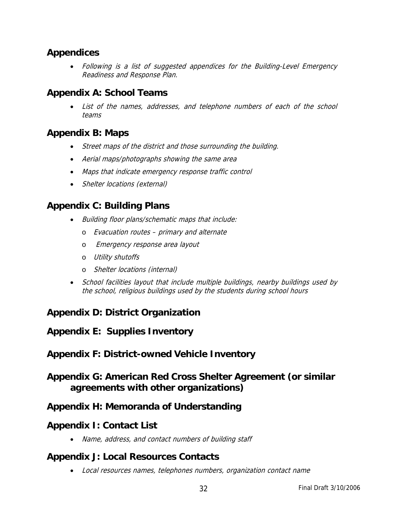### **Appendices**

• Following is a list of suggested appendices for the Building-Level Emergency Readiness and Response Plan.

### **Appendix A: School Teams**

List of the names, addresses, and telephone numbers of each of the school teams

### **Appendix B: Maps**

- Street maps of the district and those surrounding the building.
- Aerial maps/photographs showing the same area
- Maps that indicate emergency response traffic control
- Shelter locations (external)

### **Appendix C: Building Plans**

- Building floor plans/schematic maps that include:
	- o Evacuation routes primary and alternate
	- o Emergency response area layout
	- o Utility shutoffs
	- o Shelter locations (internal)
- School facilities layout that include multiple buildings, nearby buildings used by the school, religious buildings used by the students during school hours

### **Appendix D: District Organization**

### **Appendix E: Supplies Inventory**

### **Appendix F: District-owned Vehicle Inventory**

### **Appendix G: American Red Cross Shelter Agreement (or similar agreements with other organizations)**

### **Appendix H: Memoranda of Understanding**

### **Appendix I: Contact List**

• Name, address, and contact numbers of building staff

### **Appendix J: Local Resources Contacts**

• Local resources names, telephones numbers, organization contact name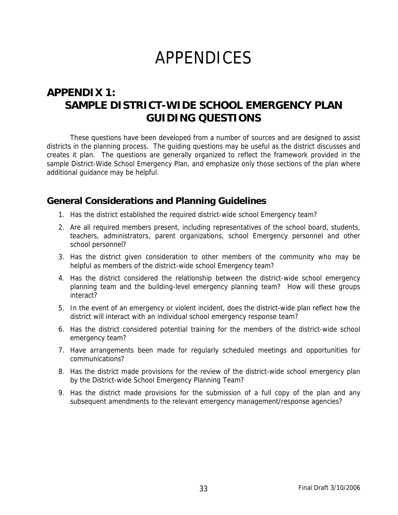## APPENDICES

### **APPENDIX 1: SAMPLE DISTRICT-WIDE SCHOOL EMERGENCY PLAN GUIDING QUESTIONS**

These questions have been developed from a number of sources and are designed to assist districts in the planning process. The guiding questions may be useful as the district discusses and creates it plan. The questions are generally organized to reflect the framework provided in the sample District-Wide School Emergency Plan, and emphasize only those sections of the plan where additional guidance may be helpful.

### **General Considerations and Planning Guidelines**

- 1. Has the district established the required district-wide school Emergency team?
- 2. Are all required members present, including representatives of the school board, students, teachers, administrators, parent organizations, school Emergency personnel and other school personnel?
- 3. Has the district given consideration to other members of the community who may be helpful as members of the district-wide school Emergency team?
- 4. Has the district considered the relationship between the district-wide school emergency planning team and the building-level emergency planning team? How will these groups interact?
- 5. In the event of an emergency or violent incident, does the district-wide plan reflect how the district will interact with an individual school emergency response team?
- 6. Has the district considered potential training for the members of the district-wide school emergency team?
- 7. Have arrangements been made for regularly scheduled meetings and opportunities for communications?
- 8. Has the district made provisions for the review of the district-wide school emergency plan by the District-wide School Emergency Planning Team?
- 9. Has the district made provisions for the submission of a full copy of the plan and any subsequent amendments to the relevant emergency management/response agencies?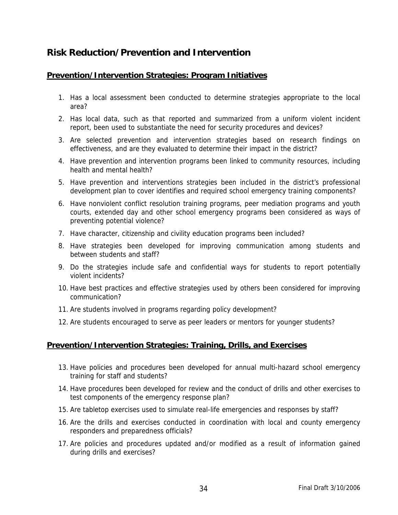### **Risk Reduction/Prevention and Intervention**

### **Prevention/Intervention Strategies: Program Initiatives**

- 1. Has a local assessment been conducted to determine strategies appropriate to the local area?
- 2. Has local data, such as that reported and summarized from a uniform violent incident report, been used to substantiate the need for security procedures and devices?
- 3. Are selected prevention and intervention strategies based on research findings on effectiveness, and are they evaluated to determine their impact in the district?
- 4. Have prevention and intervention programs been linked to community resources, including health and mental health?
- 5. Have prevention and interventions strategies been included in the district's professional development plan to cover identifies and required school emergency training components?
- 6. Have nonviolent conflict resolution training programs, peer mediation programs and youth courts, extended day and other school emergency programs been considered as ways of preventing potential violence?
- 7. Have character, citizenship and civility education programs been included?
- 8. Have strategies been developed for improving communication among students and between students and staff?
- 9. Do the strategies include safe and confidential ways for students to report potentially violent incidents?
- 10. Have best practices and effective strategies used by others been considered for improving communication?
- 11. Are students involved in programs regarding policy development?
- 12. Are students encouraged to serve as peer leaders or mentors for younger students?

### **Prevention/Intervention Strategies: Training, Drills, and Exercises**

- 13. Have policies and procedures been developed for annual multi-hazard school emergency training for staff and students?
- 14. Have procedures been developed for review and the conduct of drills and other exercises to test components of the emergency response plan?
- 15. Are tabletop exercises used to simulate real-life emergencies and responses by staff?
- 16. Are the drills and exercises conducted in coordination with local and county emergency responders and preparedness officials?
- 17. Are policies and procedures updated and/or modified as a result of information gained during drills and exercises?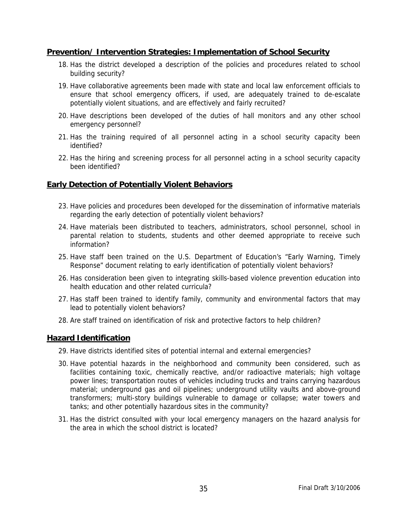### **Prevention/ Intervention Strategies: Implementation of School Security**

- 18. Has the district developed a description of the policies and procedures related to school building security?
- 19. Have collaborative agreements been made with state and local law enforcement officials to ensure that school emergency officers, if used, are adequately trained to de-escalate potentially violent situations, and are effectively and fairly recruited?
- 20. Have descriptions been developed of the duties of hall monitors and any other school emergency personnel?
- 21. Has the training required of all personnel acting in a school security capacity been identified?
- 22. Has the hiring and screening process for all personnel acting in a school security capacity been identified?

### **Early Detection of Potentially Violent Behaviors**

- 23. Have policies and procedures been developed for the dissemination of informative materials regarding the early detection of potentially violent behaviors?
- 24. Have materials been distributed to teachers, administrators, school personnel, school in parental relation to students, students and other deemed appropriate to receive such information?
- 25. Have staff been trained on the U.S. Department of Education's "Early Warning, Timely Response" document relating to early identification of potentially violent behaviors?
- 26. Has consideration been given to integrating skills-based violence prevention education into health education and other related curricula?
- 27. Has staff been trained to identify family, community and environmental factors that may lead to potentially violent behaviors?
- 28. Are staff trained on identification of risk and protective factors to help children?

### **Hazard Identification**

- 29. Have districts identified sites of potential internal and external emergencies?
- 30. Have potential hazards in the neighborhood and community been considered, such as facilities containing toxic, chemically reactive, and/or radioactive materials; high voltage power lines; transportation routes of vehicles including trucks and trains carrying hazardous material; underground gas and oil pipelines; underground utility vaults and above-ground transformers; multi-story buildings vulnerable to damage or collapse; water towers and tanks; and other potentially hazardous sites in the community?
- 31. Has the district consulted with your local emergency managers on the hazard analysis for the area in which the school district is located?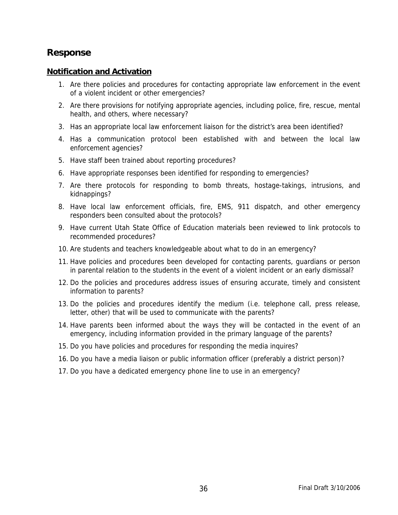### **Response**

#### **Notification and Activation**

- 1. Are there policies and procedures for contacting appropriate law enforcement in the event of a violent incident or other emergencies?
- 2. Are there provisions for notifying appropriate agencies, including police, fire, rescue, mental health, and others, where necessary?
- 3. Has an appropriate local law enforcement liaison for the district's area been identified?
- 4. Has a communication protocol been established with and between the local law enforcement agencies?
- 5. Have staff been trained about reporting procedures?
- 6. Have appropriate responses been identified for responding to emergencies?
- 7. Are there protocols for responding to bomb threats, hostage-takings, intrusions, and kidnappings?
- 8. Have local law enforcement officials, fire, EMS, 911 dispatch, and other emergency responders been consulted about the protocols?
- 9. Have current Utah State Office of Education materials been reviewed to link protocols to recommended procedures?
- 10. Are students and teachers knowledgeable about what to do in an emergency?
- 11. Have policies and procedures been developed for contacting parents, guardians or person in parental relation to the students in the event of a violent incident or an early dismissal?
- 12. Do the policies and procedures address issues of ensuring accurate, timely and consistent information to parents?
- 13. Do the policies and procedures identify the medium (i.e. telephone call, press release, letter, other) that will be used to communicate with the parents?
- 14. Have parents been informed about the ways they will be contacted in the event of an emergency, including information provided in the primary language of the parents?
- 15. Do you have policies and procedures for responding the media inquires?
- 16. Do you have a media liaison or public information officer (preferably a district person)?
- 17. Do you have a dedicated emergency phone line to use in an emergency?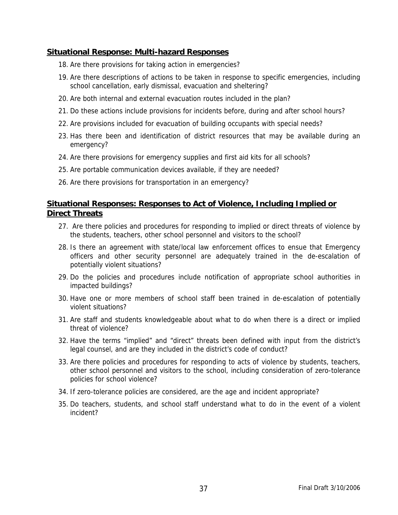### **Situational Response: Multi-hazard Responses**

- 18. Are there provisions for taking action in emergencies?
- 19. Are there descriptions of actions to be taken in response to specific emergencies, including school cancellation, early dismissal, evacuation and sheltering?
- 20. Are both internal and external evacuation routes included in the plan?
- 21. Do these actions include provisions for incidents before, during and after school hours?
- 22. Are provisions included for evacuation of building occupants with special needs?
- 23. Has there been and identification of district resources that may be available during an emergency?
- 24. Are there provisions for emergency supplies and first aid kits for all schools?
- 25. Are portable communication devices available, if they are needed?
- 26. Are there provisions for transportation in an emergency?

### **Situational Responses: Responses to Act of Violence, Including Implied or Direct Threats**

- 27. Are there policies and procedures for responding to implied or direct threats of violence by the students, teachers, other school personnel and visitors to the school?
- 28. Is there an agreement with state/local law enforcement offices to ensue that Emergency officers and other security personnel are adequately trained in the de-escalation of potentially violent situations?
- 29. Do the policies and procedures include notification of appropriate school authorities in impacted buildings?
- 30. Have one or more members of school staff been trained in de-escalation of potentially violent situations?
- 31. Are staff and students knowledgeable about what to do when there is a direct or implied threat of violence?
- 32. Have the terms "implied" and "direct" threats been defined with input from the district's legal counsel, and are they included in the district's code of conduct?
- 33. Are there policies and procedures for responding to acts of violence by students, teachers, other school personnel and visitors to the school, including consideration of zero-tolerance policies for school violence?
- 34. If zero-tolerance policies are considered, are the age and incident appropriate?
- 35. Do teachers, students, and school staff understand what to do in the event of a violent incident?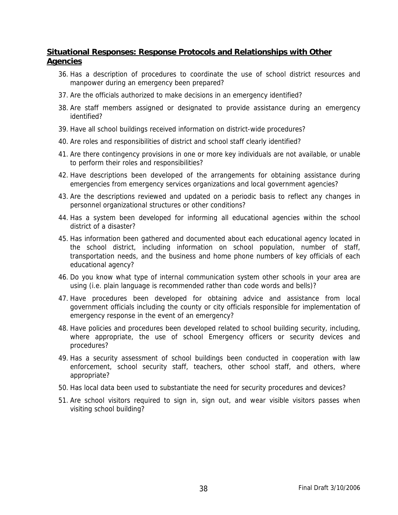### **Situational Responses: Response Protocols and Relationships with Other Agencies**

- 36. Has a description of procedures to coordinate the use of school district resources and manpower during an emergency been prepared?
- 37. Are the officials authorized to make decisions in an emergency identified?
- 38. Are staff members assigned or designated to provide assistance during an emergency identified?
- 39. Have all school buildings received information on district-wide procedures?
- 40. Are roles and responsibilities of district and school staff clearly identified?
- 41. Are there contingency provisions in one or more key individuals are not available, or unable to perform their roles and responsibilities?
- 42. Have descriptions been developed of the arrangements for obtaining assistance during emergencies from emergency services organizations and local government agencies?
- 43. Are the descriptions reviewed and updated on a periodic basis to reflect any changes in personnel organizational structures or other conditions?
- 44. Has a system been developed for informing all educational agencies within the school district of a disaster?
- 45. Has information been gathered and documented about each educational agency located in the school district, including information on school population, number of staff, transportation needs, and the business and home phone numbers of key officials of each educational agency?
- 46. Do you know what type of internal communication system other schools in your area are using (i.e. plain language is recommended rather than code words and bells)?
- 47. Have procedures been developed for obtaining advice and assistance from local government officials including the county or city officials responsible for implementation of emergency response in the event of an emergency?
- 48. Have policies and procedures been developed related to school building security, including, where appropriate, the use of school Emergency officers or security devices and procedures?
- 49. Has a security assessment of school buildings been conducted in cooperation with law enforcement, school security staff, teachers, other school staff, and others, where appropriate?
- 50. Has local data been used to substantiate the need for security procedures and devices?
- 51. Are school visitors required to sign in, sign out, and wear visible visitors passes when visiting school building?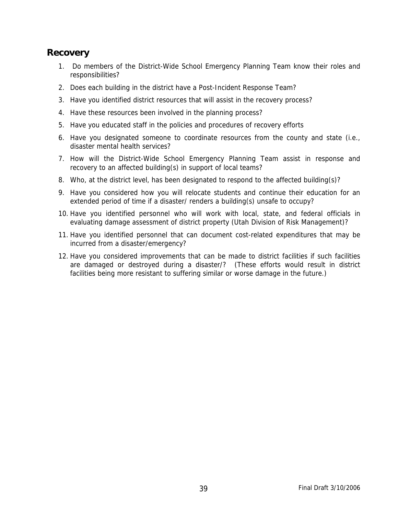### **Recovery**

- 1. Do members of the District-Wide School Emergency Planning Team know their roles and responsibilities?
- 2. Does each building in the district have a Post-Incident Response Team?
- 3. Have you identified district resources that will assist in the recovery process?
- 4. Have these resources been involved in the planning process?
- 5. Have you educated staff in the policies and procedures of recovery efforts
- 6. Have you designated someone to coordinate resources from the county and state (i.e., disaster mental health services?
- 7. How will the District-Wide School Emergency Planning Team assist in response and recovery to an affected building(s) in support of local teams?
- 8. Who, at the district level, has been designated to respond to the affected building(s)?
- 9. Have you considered how you will relocate students and continue their education for an extended period of time if a disaster/ renders a building(s) unsafe to occupy?
- 10. Have you identified personnel who will work with local, state, and federal officials in evaluating damage assessment of district property (Utah Division of Risk Management)?
- 11. Have you identified personnel that can document cost-related expenditures that may be incurred from a disaster/emergency?
- 12. Have you considered improvements that can be made to district facilities if such facilities are damaged or destroyed during a disaster/? (These efforts would result in district facilities being more resistant to suffering similar or worse damage in the future.)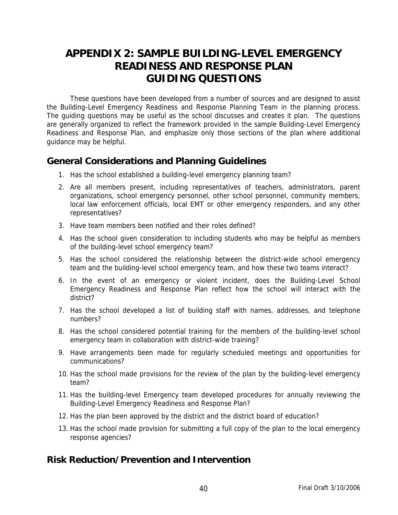### **APPENDIX 2: SAMPLE BUILDING-LEVEL EMERGENCY READINESS AND RESPONSE PLAN GUIDING QUESTIONS**

These questions have been developed from a number of sources and are designed to assist the Building-Level Emergency Readiness and Response Planning Team in the planning process. The guiding questions may be useful as the school discusses and creates it plan. The questions are generally organized to reflect the framework provided in the sample Building-Level Emergency Readiness and Response Plan, and emphasize only those sections of the plan where additional guidance may be helpful.

### **General Considerations and Planning Guidelines**

- 1. Has the school established a building-level emergency planning team?
- 2. Are all members present, including representatives of teachers, administrators, parent organizations, school emergency personnel, other school personnel, community members, local law enforcement officials, local EMT or other emergency responders, and any other representatives?
- 3. Have team members been notified and their roles defined?
- 4. Has the school given consideration to including students who may be helpful as members of the building-level school emergency team?
- 5. Has the school considered the relationship between the district-wide school emergency team and the building-level school emergency team, and how these two teams interact?
- 6. In the event of an emergency or violent incident, does the Building-Level School Emergency Readiness and Response Plan reflect how the school will interact with the district?
- 7. Has the school developed a list of building staff with names, addresses, and telephone numbers?
- 8. Has the school considered potential training for the members of the building-level school emergency team in collaboration with district-wide training?
- 9. Have arrangements been made for regularly scheduled meetings and opportunities for communications?
- 10. Has the school made provisions for the review of the plan by the building-level emergency team?
- 11. Has the building-level Emergency team developed procedures for annually reviewing the Building-Level Emergency Readiness and Response Plan?
- 12. Has the plan been approved by the district and the district board of education?
- 13. Has the school made provision for submitting a full copy of the plan to the local emergency response agencies?

### **Risk Reduction/Prevention and Intervention**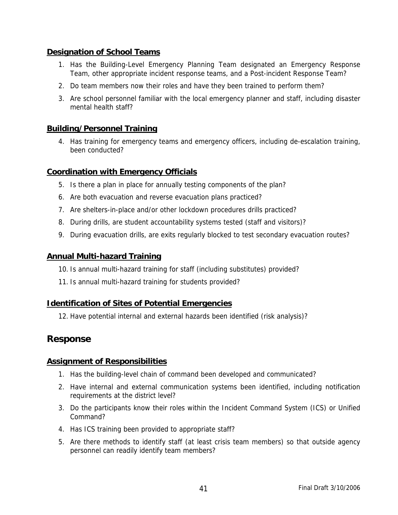### **Designation of School Teams**

- 1. Has the Building-Level Emergency Planning Team designated an Emergency Response Team, other appropriate incident response teams, and a Post-incident Response Team?
- 2. Do team members now their roles and have they been trained to perform them?
- 3. Are school personnel familiar with the local emergency planner and staff, including disaster mental health staff?

### **Building/Personnel Training**

4. Has training for emergency teams and emergency officers, including de-escalation training, been conducted?

### **Coordination with Emergency Officials**

- 5. Is there a plan in place for annually testing components of the plan?
- 6. Are both evacuation and reverse evacuation plans practiced?
- 7. Are shelters-in-place and/or other lockdown procedures drills practiced?
- 8. During drills, are student accountability systems tested (staff and visitors)?
- 9. During evacuation drills, are exits regularly blocked to test secondary evacuation routes?

### **Annual Multi-hazard Training**

- 10. Is annual multi-hazard training for staff (including substitutes) provided?
- 11. Is annual multi-hazard training for students provided?

### **Identification of Sites of Potential Emergencies**

12. Have potential internal and external hazards been identified (risk analysis)?

### **Response**

### **Assignment of Responsibilities**

- 1. Has the building-level chain of command been developed and communicated?
- 2. Have internal and external communication systems been identified, including notification requirements at the district level?
- 3. Do the participants know their roles within the Incident Command System (ICS) or Unified Command?
- 4. Has ICS training been provided to appropriate staff?
- 5. Are there methods to identify staff (at least crisis team members) so that outside agency personnel can readily identify team members?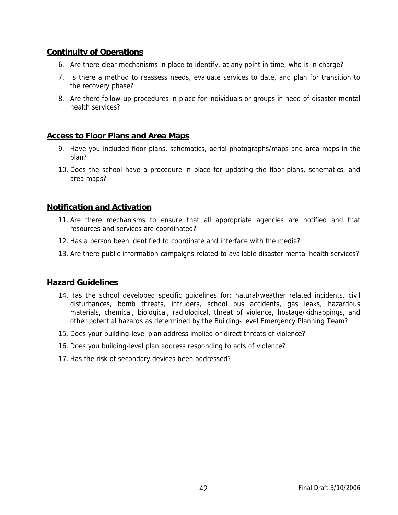### **Continuity of Operations**

- 6. Are there clear mechanisms in place to identify, at any point in time, who is in charge?
- 7. Is there a method to reassess needs, evaluate services to date, and plan for transition to the recovery phase?
- 8. Are there follow-up procedures in place for individuals or groups in need of disaster mental health services?

### **Access to Floor Plans and Area Maps**

- 9. Have you included floor plans, schematics, aerial photographs/maps and area maps in the plan?
- 10. Does the school have a procedure in place for updating the floor plans, schematics, and area maps?

### **Notification and Activation**

- 11. Are there mechanisms to ensure that all appropriate agencies are notified and that resources and services are coordinated?
- 12. Has a person been identified to coordinate and interface with the media?
- 13. Are there public information campaigns related to available disaster mental health services?

### **Hazard Guidelines**

- 14. Has the school developed specific guidelines for: natural/weather related incidents, civil disturbances, bomb threats, intruders, school bus accidents, gas leaks, hazardous materials, chemical, biological, radiological, threat of violence, hostage/kidnappings, and other potential hazards as determined by the Building-Level Emergency Planning Team?
- 15. Does your building-level plan address implied or direct threats of violence?
- 16. Does you building-level plan address responding to acts of violence?
- 17. Has the risk of secondary devices been addressed?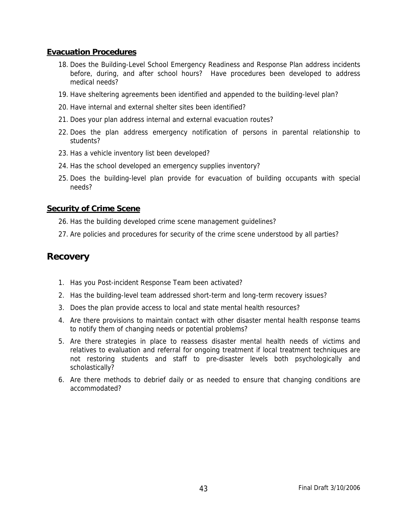### **Evacuation Procedures**

- 18. Does the Building-Level School Emergency Readiness and Response Plan address incidents before, during, and after school hours? Have procedures been developed to address medical needs?
- 19. Have sheltering agreements been identified and appended to the building-level plan?
- 20. Have internal and external shelter sites been identified?
- 21. Does your plan address internal and external evacuation routes?
- 22. Does the plan address emergency notification of persons in parental relationship to students?
- 23. Has a vehicle inventory list been developed?
- 24. Has the school developed an emergency supplies inventory?
- 25. Does the building-level plan provide for evacuation of building occupants with special needs?

#### **Security of Crime Scene**

- 26. Has the building developed crime scene management guidelines?
- 27. Are policies and procedures for security of the crime scene understood by all parties?

### **Recovery**

- 1. Has you Post-incident Response Team been activated?
- 2. Has the building-level team addressed short-term and long-term recovery issues?
- 3. Does the plan provide access to local and state mental health resources?
- 4. Are there provisions to maintain contact with other disaster mental health response teams to notify them of changing needs or potential problems?
- 5. Are there strategies in place to reassess disaster mental health needs of victims and relatives to evaluation and referral for ongoing treatment if local treatment techniques are not restoring students and staff to pre-disaster levels both psychologically and scholastically?
- 6. Are there methods to debrief daily or as needed to ensure that changing conditions are accommodated?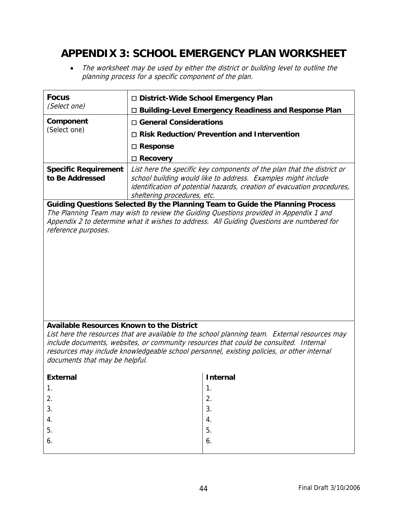### **APPENDIX 3: SCHOOL EMERGENCY PLAN WORKSHEET**

• The worksheet may be used by either the district or building level to outline the planning process for a specific component of the plan.

| <b>Focus</b>                                                                                                                                                                        | □ District-Wide School Emergency Plan                                                         |                                                                                                                                                                                                                    |  |
|-------------------------------------------------------------------------------------------------------------------------------------------------------------------------------------|-----------------------------------------------------------------------------------------------|--------------------------------------------------------------------------------------------------------------------------------------------------------------------------------------------------------------------|--|
| (Select one)                                                                                                                                                                        | <b>Building-Level Emergency Readiness and Response Plan</b>                                   |                                                                                                                                                                                                                    |  |
| Component                                                                                                                                                                           | □ General Considerations<br>(Select one)<br>$\Box$ Risk Reduction/Prevention and Intervention |                                                                                                                                                                                                                    |  |
|                                                                                                                                                                                     |                                                                                               |                                                                                                                                                                                                                    |  |
|                                                                                                                                                                                     | □ Response                                                                                    |                                                                                                                                                                                                                    |  |
|                                                                                                                                                                                     | $\Box$ Recovery                                                                               |                                                                                                                                                                                                                    |  |
| <b>Specific Requirement</b><br>to Be Addressed                                                                                                                                      | sheltering procedures, etc.                                                                   | List here the specific key components of the plan that the district or<br>school building would like to address. Examples might include<br>identification of potential hazards, creation of evacuation procedures, |  |
|                                                                                                                                                                                     |                                                                                               | Guiding Questions Selected By the Planning Team to Guide the Planning Process                                                                                                                                      |  |
| reference purposes.                                                                                                                                                                 |                                                                                               | The Planning Team may wish to review the Guiding Questions provided in Appendix 1 and<br>Appendix 2 to determine what it wishes to address. All Guiding Questions are numbered for                                 |  |
| <b>Available Resources Known to the District</b>                                                                                                                                    |                                                                                               |                                                                                                                                                                                                                    |  |
|                                                                                                                                                                                     |                                                                                               | List here the resources that are available to the school planning team. External resources may                                                                                                                     |  |
| include documents, websites, or community resources that could be consulted. Internal<br>resources may include knowledgeable school personnel, existing policies, or other internal |                                                                                               |                                                                                                                                                                                                                    |  |
| documents that may be helpful.                                                                                                                                                      |                                                                                               |                                                                                                                                                                                                                    |  |
| <b>External</b>                                                                                                                                                                     |                                                                                               | <b>Internal</b>                                                                                                                                                                                                    |  |
| 1.                                                                                                                                                                                  |                                                                                               | 1.                                                                                                                                                                                                                 |  |
| 2.                                                                                                                                                                                  |                                                                                               | 2.                                                                                                                                                                                                                 |  |
| 3.                                                                                                                                                                                  |                                                                                               | 3.                                                                                                                                                                                                                 |  |
| 4.                                                                                                                                                                                  |                                                                                               | 4.                                                                                                                                                                                                                 |  |
| 5.                                                                                                                                                                                  |                                                                                               | 5.                                                                                                                                                                                                                 |  |
| 6.                                                                                                                                                                                  |                                                                                               | 6.                                                                                                                                                                                                                 |  |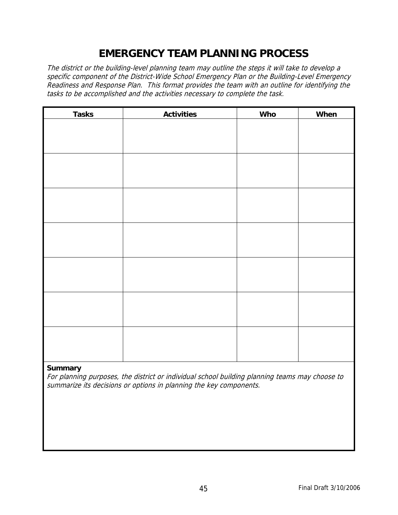### **EMERGENCY TEAM PLANNING PROCESS**

The district or the building-level planning team may outline the steps it will take to develop a specific component of the District-Wide School Emergency Plan or the Building-Level Emergency Readiness and Response Plan. This format provides the team with an outline for identifying the tasks to be accomplished and the activities necessary to complete the task.

| <b>Tasks</b> | <b>Activities</b> | <b>Who</b> | When |
|--------------|-------------------|------------|------|
|              |                   |            |      |
|              |                   |            |      |
|              |                   |            |      |
|              |                   |            |      |
|              |                   |            |      |
|              |                   |            |      |
|              |                   |            |      |
|              |                   |            |      |
|              |                   |            |      |
|              |                   |            |      |
|              |                   |            |      |
|              |                   |            |      |
|              |                   |            |      |
|              |                   |            |      |
|              |                   |            |      |
|              |                   |            |      |
|              |                   |            |      |
|              |                   |            |      |
|              |                   |            |      |
|              |                   |            |      |
|              |                   |            |      |

#### **Summary**

For planning purposes, the district or individual school building planning teams may choose to summarize its decisions or options in planning the key components.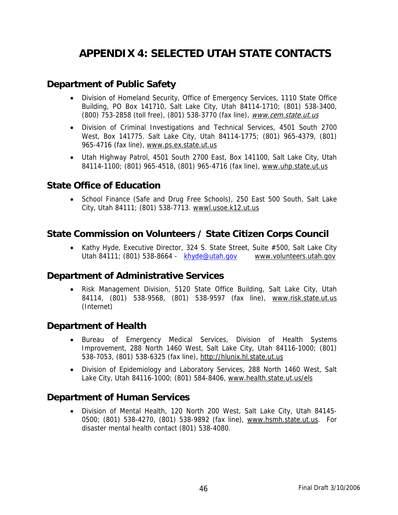### **APPENDIX 4: SELECTED UTAH STATE CONTACTS**

### **Department of Public Safety**

- Division of Homeland Security, Office of Emergency Services, 1110 State Office Building, PO Box 141710, Salt Lake City, Utah 84114-1710; (801) 538-3400, (800) 753-2858 (toll free), (801) 538-3770 (fax line), [www.cem.state.ut.us](http://www.cem.state.ut.us/)
- Division of Criminal Investigations and Technical Services, 4501 South 2700 West, Box 141775. Salt Lake City, Utah 84114-1775; (801) 965-4379, (801) 965-4716 (fax line), www.ps.ex.state.ut.us
- Utah Highway Patrol, 4501 South 2700 East, Box 141100, Salt Lake City, Utah 84114-1100; (801) 965-4518, (801) 965-4716 (fax line), www.uhp.state.ut.us

### **State Office of Education**

• School Finance (Safe and Drug Free Schools), 250 East 500 South, Salt Lake City, Utah 84111; (801) 538-7713. wwwl.usoe.k12.ut.us

### **State Commission on Volunteers / State Citizen Corps Council**

• Kathy Hyde, Executive Director, 324 S. State Street, Suite #500, Salt Lake City Utah 84111; (801) 538-8664 - [khyde@utah.gov](mailto:khyde@utah.gov) www.volunteers.utah.gov

### **Department of Administrative Services**

• Risk Management Division, 5120 State Office Building, Salt Lake City, Utah 84114, (801) 538-9568, (801) 538-9597 (fax line), [www.risk.state.ut.us](http://www.risk.state.ut.us/) (Internet)

### **Department of Health**

- Bureau of Emergency Medical Services, Division of Health Systems Improvement, 288 North 1460 West, Salt Lake City, Utah 84116-1000; (801) 538-7053, (801) 538-6325 (fax line), [http://hlunix.hl.state.ut.us](http://hlunix.hl.state.ut.us/)
- Division of Epidemiology and Laboratory Services, 288 North 1460 West, Salt Lake City, Utah 84116-1000; (801) 584-8406, www.health.state.ut.us/els

### **Department of Human Services**

• Division of Mental Health, 120 North 200 West, Salt Lake City, Utah 84145- 0500; (801) 538-4270, (801) 538-9892 (fax line), [www.hsmh.state.ut.us](http://www.hsmh.state.ut.us/). For disaster mental health contact (801) 538-4080.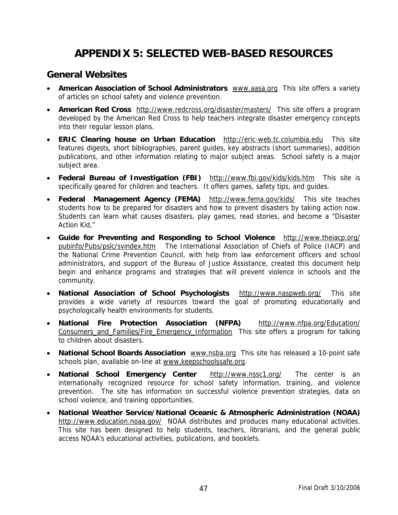### **APPENDIX 5: SELECTED WEB-BASED RESOURCES**

### **General Websites**

- **American Association of School Administrators** [www.aasa.org](http://www.aasa.org/) This site offers a variety of articles on school safety and violence prevention.
- **American Red Cross** <http://www.redcross.org/disaster/masters/> This site offers a program developed by the American Red Cross to help teachers integrate disaster emergency concepts into their regular lesson plans.
- **ERIC Clearing house on Urban Education** [http://eric-web.tc.columbia.edu](http://eric-web.tc.columbia.edu/) This site features digests, short bibliographies, parent guides, key abstracts (short summaries), addition publications, and other information relating to major subject areas. School safety is a major subject area.
- **Federal Bureau of Investigation (FBI)** <http://www.fbi.gov/kids/kids.htm> This site is specifically geared for children and teachers. It offers games, safety tips, and guides.
- **Federal Management Agency (FEMA)** <http://www.fema.gov/kids/> This site teaches students how to be prepared for disasters and how to prevent disasters by taking action now. Students can learn what causes disasters, play games, read stories, and become a "Disaster Action Kid,"
- **Guide for Preventing and Responding to School Violence** [http://www.theiacp.org/](http://www.theiacp.org/%20pubinfo/Pubs/pslc/svindex.htm)  [pubinfo/Pubs/pslc/svindex.htm](http://www.theiacp.org/%20pubinfo/Pubs/pslc/svindex.htm) The International Association of Chiefs of Police (IACP) and the National Crime Prevention Council, with help from law enforcement officers and school administrators, and support of the Bureau of Justice Assistance, created this document help begin and enhance programs and strategies that will prevent violence in schools and the community.
- **National Association of School Psychologists** <http://www.naspweb.org/> This site provides a wide variety of resources toward the goal of promoting educationally and psychologically health environments for students.
- **National Fire Protection Association (NFPA)** <http://www.nfpa.org/Education/> Consumers\_and\_Families/Fire\_Emergency\_Information This site offers a program for talking to children about disasters.
- **National School Boards Association** [www.nsba.org](http://www.nsba.org/) This site has released a 10-point safe schools plan, available on-line at [www.keepschoolssafe.org.](http://www.keepschoolssafe.org/)
- **National School Emergency Center** <http://www.nssc1.org/>The center is an internationally recognized resource for school safety information, training, and violence prevention. The site has information on successful violence prevention strategies, data on school violence, and training opportunities.
- **National Weather Service/National Oceanic & Atmospheric Administration (NOAA)** <http://www.education.noaa.gov/>NOAA distributes and produces many educational activities. This site has been designed to help students, teachers, librarians, and the general public access NOAA's educational activities, publications, and booklets.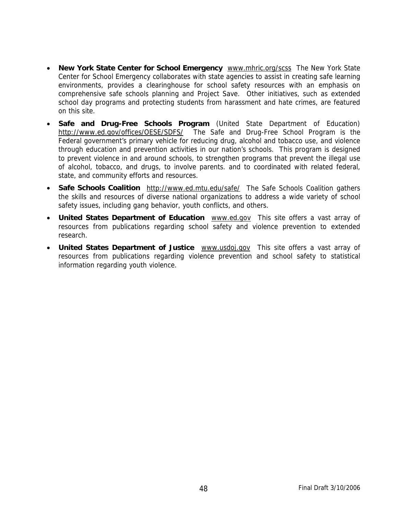- **New York State Center for School Emergency** [www.mhric.org/scss](http://www.mhric.org/scss) The New York State Center for School Emergency collaborates with state agencies to assist in creating safe learning environments, provides a clearinghouse for school safety resources with an emphasis on comprehensive safe schools planning and Project Save. Other initiatives, such as extended school day programs and protecting students from harassment and hate crimes, are featured on this site.
- **Safe and Drug-Free Schools Program** (United State Department of Education) <http://www.ed.gov/offices/OESE/SDFS/> The Safe and Drug-Free School Program is the Federal government's primary vehicle for reducing drug, alcohol and tobacco use, and violence through education and prevention activities in our nation's schools. This program is designed to prevent violence in and around schools, to strengthen programs that prevent the illegal use of alcohol, tobacco, and drugs, to involve parents. and to coordinated with related federal, state, and community efforts and resources.
- Safe Schools Coalition <http://www.ed.mtu.edu/safe/> The Safe Schools Coalition gathers the skills and resources of diverse national organizations to address a wide variety of school safety issues, including gang behavior, youth conflicts, and others.
- **United States Department of Education** [www.ed.gov](http://www.ed.gov/) This site offers a vast array of resources from publications regarding school safety and violence prevention to extended research.
- **United States Department of Justice** [www.usdoj.gov](http://www.usdoj.gov/) This site offers a vast array of resources from publications regarding violence prevention and school safety to statistical information regarding youth violence.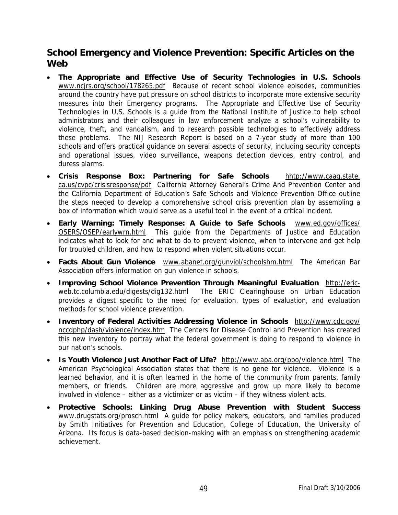### **School Emergency and Violence Prevention: Specific Articles on the Web**

- **The Appropriate and Effective Use of Security Technologies in U.S. Schools** [www.ncjrs.org/s](http://www.ncjrs.org/)chool/178265.pdf Because of recent school violence episodes, communities around the country have put pressure on school districts to incorporate more extensive security measures into their Emergency programs. The Appropriate and Effective Use of Security Technologies in U.S. Schools is a guide from the National Institute of Justice to help school administrators and their colleagues in law enforcement analyze a school's vulnerability to violence, theft, and vandalism, and to research possible technologies to effectively address these problems. The NIJ Research Report is based on a 7-year study of more than 100 schools and offers practical guidance on several aspects of security, including security concepts and operational issues, video surveillance, weapons detection devices, entry control, and duress alarms.
- **Crisis Response Box: Partnering for Safe Schools** hhtp://www.caag.state. ca.us/cvpc/crisisresponse/pdf California Attorney General's Crime And Prevention Center and the California Department of Education's Safe Schools and Violence Prevention Office outline the steps needed to develop a comprehensive school crisis prevention plan by assembling a box of information which would serve as a useful tool in the event of a critical incident.
- **Early Warning: Timely Response: A Guide to Safe Schools** [www.ed.gov/offices/](http://www.ed.gov/offices/) OSERS/OSEP/earlywrn.html This guide from the Departments of Justice and Education indicates what to look for and what to do to prevent violence, when to intervene and get help for troubled children, and how to respond when violent situations occur.
- **Facts About Gun Violence** [www.abanet.org/gunviol/schoolshm.html](http://www.abanet.org/gunviol/schoolshm.html) The American Bar Association offers information on gun violence in schools.
- **Improving School Violence Prevention Through Meaningful Evaluation** [http://eric](http://eric-web.tc.columbia.edu/digests/dig132.html)[web.tc.columbia.edu/digests/dig132.html](http://eric-web.tc.columbia.edu/digests/dig132.html) The ERIC Clearinghouse on Urban Education provides a digest specific to the need for evaluation, types of evaluation, and evaluation methods for school violence prevention.
- **Inventory of Federal Activities Addressing Violence in Schools** <http://www.cdc.gov/> nccdphp/dash/violence/index.htm The Centers for Disease Control and Prevention has created this new inventory to portray what the federal government is doing to respond to violence in our nation's schools.
- **Is Youth Violence Just Another Fact of Life?** <http://www.apa.org/ppo/violence.html> The American Psychological Association states that there is no gene for violence. Violence is a learned behavior, and it is often learned in the home of the community from parents, family members, or friends. Children are more aggressive and grow up more likely to become involved in violence – either as a victimizer or as victim – if they witness violent acts.
- **Protective Schools: Linking Drug Abuse Prevention with Student Success** [www.drugstats.org/prosch.html](http://www.drugstats.org/prosch.html) A guide for policy makers, educators, and families produced by Smith Initiatives for Prevention and Education, College of Education, the University of Arizona. Its focus is data-based decision-making with an emphasis on strengthening academic achievement.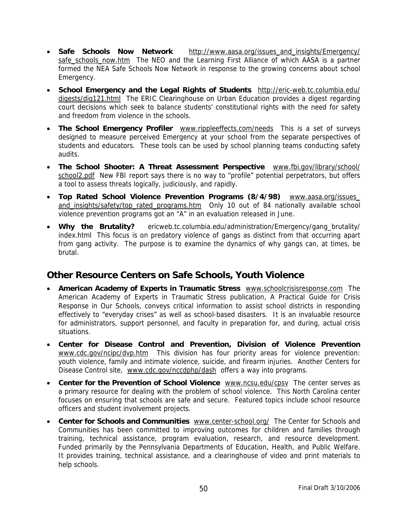- **Safe Schools Now Network** [http://www.aasa.org/issues\\_and\\_insights/Emergency/](http://www.aasa.org/issues_and_insights/safety/%20safe_schools_now.htm)  [safe\\_schools\\_now.htm](http://www.aasa.org/issues_and_insights/safety/%20safe_schools_now.htm) The NEO and the Learning First Alliance of which AASA is a partner formed the NEA Safe Schools Now Network in response to the growing concerns about school Emergency.
- **School Emergency and the Legal Rights of Students** <http://eric-web.tc.columbia.edu/> digests/dig121.html The ERIC Clearinghouse on Urban Education provides a digest regarding court decisions which seek to balance students' constitutional rights with the need for safety and freedom from violence in the schools.
- **The School Emergency Profiler** [www.rippleeffects.com/needs](http://www.rippleeffects.com/needs) This is a set of surveys designed to measure perceived Emergency at your school from the separate perspectives of students and educators. These tools can be used by school planning teams conducting safety audits.
- **The School Shooter: A Threat Assessment Perspective** [www.fbi.gov/library/school/](http://www.fbi.gov/library/school/%20school2.pdf)  [school2.pdf](http://www.fbi.gov/library/school/%20school2.pdf) New FBI report says there is no way to "profile" potential perpetrators, but offers a tool to assess threats logically, judiciously, and rapidly.
- **Top Rated School Violence Prevention Programs (8/4/98)** [www.aasa.org/issues\\_](http://www.aasa.org/issues_%20and_insights/safety/top_rated_programs.htm)  [and\\_insights/safety/top\\_rated\\_programs.htm](http://www.aasa.org/issues_%20and_insights/safety/top_rated_programs.htm) Only 10 out of 84 nationally available school violence prevention programs got an "A" in an evaluation released in June.
- Why the Brutality? ericweb.tc.columbia.edu/administration/Emergency/gang\_brutality/ index.htmlThis focus is on predatory violence of gangs as distinct from that occurring apart from gang activity. The purpose is to examine the dynamics of why gangs can, at times, be brutal.

### **Other Resource Centers on Safe Schools, Youth Violence**

- **American Academy of Experts in Traumatic Stress** [www.schoolcrisisresponse.com](http://www.schoolcrisisresponse.com/) The American Academy of Experts in Traumatic Stress publication, A Practical Guide for Crisis Response in Our Schools, conveys critical information to assist school districts in responding effectively to "everyday crises" as well as school-based disasters. It is an invaluable resource for administrators, support personnel, and faculty in preparation for, and during, actual crisis situations.
- **Center for Disease Control and Prevention, Division of Violence Prevention** [www.cdc.gov/](http://www.cdc.gov/)ncipc/dvp.htm This division has four priority areas for violence prevention: youth violence, family and intimate violence, suicide, and firearm injuries. Another Centers for Disease Control site, [www.cdc.gov/nccdphp/dash](http://www.cdc.gov/nccdphp/dash) offers a way into programs.
- **Center for the Prevention of School Violence** [www.ncsu.edu/cpsv](http://www.ncsu.edu/cpsv) The center serves as a primary resource for dealing with the problem of school violence. This North Carolina center focuses on ensuring that schools are safe and secure. Featured topics include school resource officers and student involvement projects.
- **Center for Schools and Communities** [www.center-school.org/](http://www.center-school.org/) The Center for Schools and Communities has been committed to improving outcomes for children and families through training, technical assistance, program evaluation, research, and resource development. Funded primarily by the Pennsylvania Departments of Education, Health, and Public Welfare. It provides training, technical assistance, and a clearinghouse of video and print materials to help schools.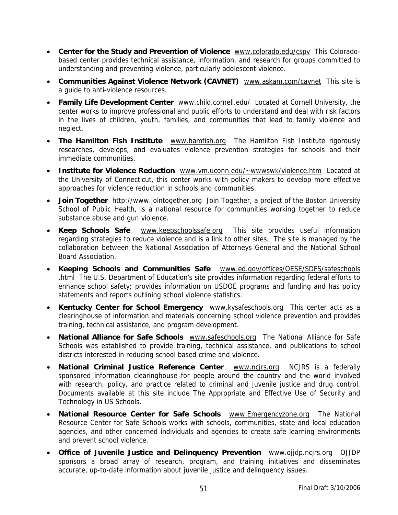- **Center for the Study and Prevention of Violence** [www.colorado.edu/cspv](http://www.colorado.edu/cspv) This Coloradobased center provides technical assistance, information, and research for groups committed to understanding and preventing violence, particularly adolescent violence.
- **Communities Against Violence Network (CAVNET)** [www.askam.com/cavnet](http://www.askam.com/cavnet) This site is a guide to anti-violence resources.
- **Family Life Development Center** [www.child.cornell.edu/](http://www.child.cornell.edu/) Located at Cornell University, the center works to improve professional and public efforts to understand and deal with risk factors in the lives of children, youth, families, and communities that lead to family violence and neglect.
- **The Hamilton Fish Institute** [www.hamfish.org](http://www.hamfish.org/) The Hamilton Fish Institute rigorously researches, develops, and evaluates violence prevention strategies for schools and their immediate communities.
- **Institute for Violence Reduction** [www.vm.uconn.edu/~wwwswk/violence.htm](http://www.vm.uconn.edu/%7Ewwwswk/violence.htm) Located at the University of Connecticut, this center works with policy makers to develop more effective approaches for violence reduction in schools and communities.
- **Join Together** [http://www.jointogether.org](http://www.jointogether.org/) Join Together, a project of the Boston University School of Public Health, is a national resource for communities working together to reduce substance abuse and gun violence.
- **Keep Schools Safe** [www.keepschoolssafe.org](http://www.keepschoolssafe.org/) This site provides useful information regarding strategies to reduce violence and is a link to other sites. The site is managed by the collaboration between the National Association of Attorneys General and the National School Board Association.
- **Keeping Schools and Communities Safe** [www.ed.gov/offices/OESE/SDFS/](http://www.ed.gov/offices/OESE/SDFS/)safeschools .html The U.S. Department of Education's site provides information regarding federal efforts to enhance school safety; provides information on USDOE programs and funding and has policy statements and reports outlining school violence statistics.
- **Kentucky Center for School Emergency** [www.kysafeschools.org](http://www.kysafeschools.org/) This center acts as a clearinghouse of information and materials concerning school violence prevention and provides training, technical assistance, and program development.
- **National Alliance for Safe Schools** [www.safeschools.org](http://www.safeschools.org/) The National Alliance for Safe Schools was established to provide training, technical assistance, and publications to school districts interested in reducing school based crime and violence.
- **National Criminal Justice Reference Center** [www.ncjrs.org](http://www.ncjrs.org/) NCJRS is a federally sponsored information clearinghouse for people around the country and the world involved with research, policy, and practice related to criminal and juvenile justice and drug control. Documents available at this site include The Appropriate and Effective Use of Security and Technology in US Schools.
- **National Resource Center for Safe Schools** [www.Emergencyzone.org](http://www.safetyzone.org/) The National Resource Center for Safe Schools works with schools, communities, state and local education agencies, and other concerned individuals and agencies to create safe learning environments and prevent school violence.
- **Office of Juvenile Justice and Delinquency Prevention** [www.ojjdp.ncjrs.org](http://www.ojjdp.ncjrs.org/) OJJDP sponsors a broad array of research, program, and training initiatives and disseminates accurate, up-to-date information about juvenile justice and delinquency issues.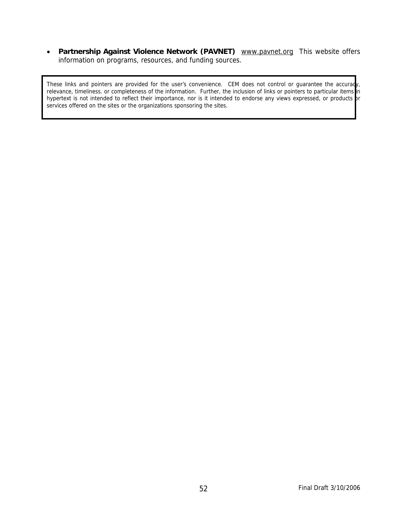• **Partnership Against Violence Network (PAVNET)** [www.pavnet.org](http://www.pavnet.org/) This website offers information on programs, resources, and funding sources.

These links and pointers are provided for the user's convenience. CEM does not control or guarantee the accuracy, relevance, timeliness. or completeness of the information. Further, the inclusion of links or pointers to particular items in hypertext is not intended to reflect their importance, nor is it intended to endorse any views expressed, or products or services offered on the sites or the organizations sponsoring the sites.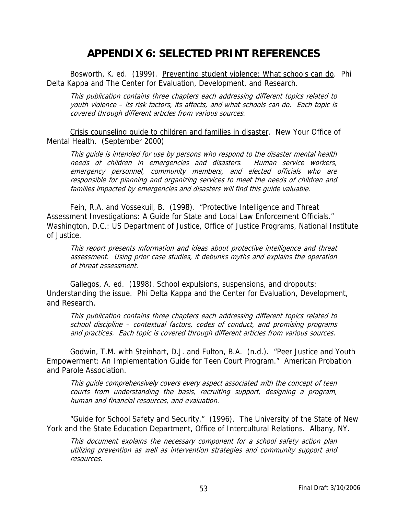### **APPENDIX 6: SELECTED PRINT REFERENCES**

 Bosworth, K. ed. (1999). Preventing student violence: What schools can do. Phi Delta Kappa and The Center for Evaluation, Development, and Research.

This publication contains three chapters each addressing different topics related to youth violence – its risk factors, its affects, and what schools can do. Each topic is covered through different articles from various sources.

Crisis counseling guide to children and families in disaster. New Your Office of Mental Health. (September 2000)

This guide is intended for use by persons who respond to the disaster mental health needs of children in emergencies and disasters. Human service workers, emergency personnel, community members, and elected officials who are responsible for planning and organizing services to meet the needs of children and families impacted by emergencies and disasters will find this guide valuable.

 Fein, R.A. and Vossekuil, B. (1998). "Protective Intelligence and Threat Assessment Investigations: A Guide for State and Local Law Enforcement Officials." Washington, D.C.: US Department of Justice, Office of Justice Programs, National Institute of Justice.

This report presents information and ideas about protective intelligence and threat assessment. Using prior case studies, it debunks myths and explains the operation of threat assessment.

 Gallegos, A. ed. (1998). School expulsions, suspensions, and dropouts: Understanding the issue. Phi Delta Kappa and the Center for Evaluation, Development, and Research.

This publication contains three chapters each addressing different topics related to school discipline – contextual factors, codes of conduct, and promising programs and practices. Each topic is covered through different articles from various sources.

 Godwin, T.M. with Steinhart, D.J. and Fulton, B.A. (n.d.). "Peer Justice and Youth Empowerment: An Implementation Guide for Teen Court Program." American Probation and Parole Association.

This guide comprehensively covers every aspect associated with the concept of teen courts from understanding the basis, recruiting support, designing a program, human and financial resources, and evaluation.

 "Guide for School Safety and Security." (1996). The University of the State of New York and the State Education Department, Office of Intercultural Relations. Albany, NY.

This document explains the necessary component for a school safety action plan utilizing prevention as well as intervention strategies and community support and resources.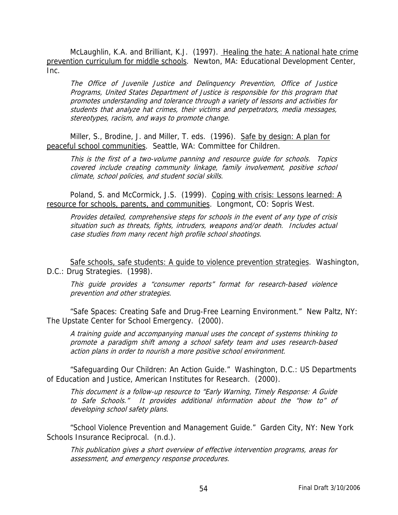McLaughlin, K.A. and Brilliant, K.J. (1997). Healing the hate: A national hate crime prevention curriculum for middle schools. Newton, MA: Educational Development Center, Inc.

The Office of Juvenile Justice and Delinquency Prevention, Office of Justice Programs, United States Department of Justice is responsible for this program that promotes understanding and tolerance through a variety of lessons and activities for students that analyze hat crimes, their victims and perpetrators, media messages, stereotypes, racism, and ways to promote change.

 Miller, S., Brodine, J. and Miller, T. eds. (1996). Safe by design: A plan for peaceful school communities. Seattle, WA: Committee for Children.

This is the first of a two-volume panning and resource guide for schools. Topics covered include creating community linkage, family involvement, positive school climate, school policies, and student social skills.

Poland, S. and McCormick, J.S. (1999). Coping with crisis: Lessons learned: A resource for schools, parents, and communities. Longmont, CO: Sopris West.

Provides detailed, comprehensive steps for schools in the event of any type of crisis situation such as threats, fights, intruders, weapons and/or death. Includes actual case studies from many recent high profile school shootings.

Safe schools, safe students: A guide to violence prevention strategies. Washington, D.C.: Drug Strategies. (1998).

This guide provides a "consumer reports" format for research-based violence prevention and other strategies.

 "Safe Spaces: Creating Safe and Drug-Free Learning Environment." New Paltz, NY: The Upstate Center for School Emergency. (2000).

A training guide and accompanying manual uses the concept of systems thinking to promote a paradigm shift among a school safety team and uses research-based action plans in order to nourish a more positive school environment.

 "Safeguarding Our Children: An Action Guide." Washington, D.C.: US Departments of Education and Justice, American Institutes for Research. (2000).

This document is a follow-up resource to "Early Warning, Timely Response: A Guide to Safe Schools." It provides additional information about the "how to" of developing school safety plans.

 "School Violence Prevention and Management Guide." Garden City, NY: New York Schools Insurance Reciprocal. (n.d.).

This publication gives a short overview of effective intervention programs, areas for assessment, and emergency response procedures.